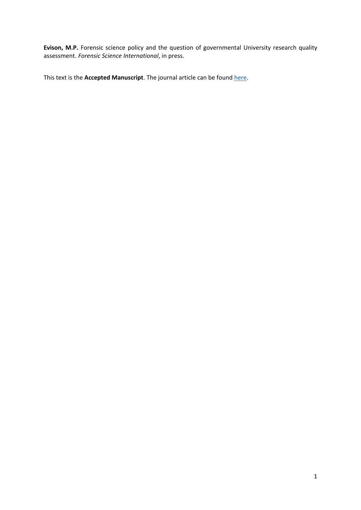**Evison, M.P.** Forensic science policy and the question of governmental University research quality assessment. *Forensic Science International*, in press.

This text is the **Accepted Manuscript**. The journal article can be found [here.](https://www.sciencedirect.com/journal/forensic-science-international)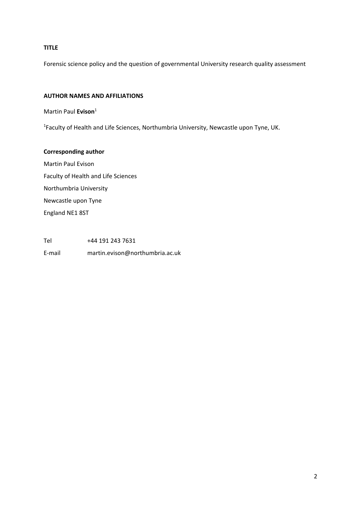# **TITLE**

Forensic science policy and the question of governmental University research quality assessment

# **AUTHOR NAMES AND AFFILIATIONS**

Martin Paul **Evison**<sup>1</sup>

<sup>1</sup>Faculty of Health and Life Sciences, Northumbria University, Newcastle upon Tyne, UK.

# **Corresponding author** Martin Paul Evison Faculty of Health and Life Sciences Northumbria University Newcastle upon Tyne England NE1 8ST

Tel +44 191 243 7631 E-mail martin.evison@northumbria.ac.uk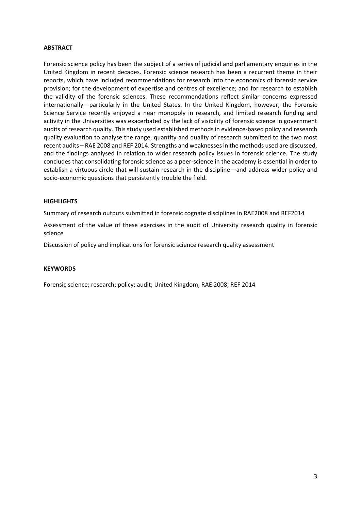## **ABSTRACT**

Forensic science policy has been the subject of a series of judicial and parliamentary enquiries in the United Kingdom in recent decades. Forensic science research has been a recurrent theme in their reports, which have included recommendations for research into the economics of forensic service provision; for the development of expertise and centres of excellence; and for research to establish the validity of the forensic sciences. These recommendations reflect similar concerns expressed internationally—particularly in the United States. In the United Kingdom, however, the Forensic Science Service recently enjoyed a near monopoly in research, and limited research funding and activity in the Universities was exacerbated by the lack of visibility of forensic science in government audits of research quality. This study used established methods in evidence-based policy and research quality evaluation to analyse the range, quantity and quality of research submitted to the two most recent audits – RAE 2008 and REF 2014. Strengths and weaknesses in the methods used are discussed, and the findings analysed in relation to wider research policy issues in forensic science. The study concludes that consolidating forensic science as a peer-science in the academy is essential in order to establish a virtuous circle that will sustain research in the discipline—and address wider policy and socio-economic questions that persistently trouble the field.

# **HIGHLIGHTS**

Summary of research outputs submitted in forensic cognate disciplines in RAE2008 and REF2014

Assessment of the value of these exercises in the audit of University research quality in forensic science

Discussion of policy and implications for forensic science research quality assessment

### **KEYWORDS**

Forensic science; research; policy; audit; United Kingdom; RAE 2008; REF 2014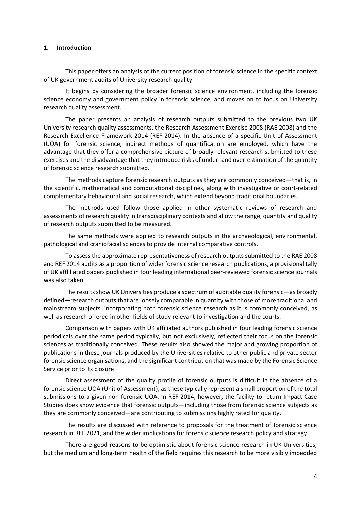#### **1. Introduction**

This paper offers an analysis of the current position of forensic science in the specific context of UK government audits of University research quality.

It begins by considering the broader forensic science environment, including the forensic science economy and government policy in forensic science, and moves on to focus on University research quality assessment.

The paper presents an analysis of research outputs submitted to the previous two UK University research quality assessments, the Research Assessment Exercise 2008 (RAE 2008) and the Research Excellence Framework 2014 (REF 2014). In the absence of a specific Unit of Assessment (UOA) for forensic science, indirect methods of quantification are employed, which have the advantage that they offer a comprehensive picture of broadly relevant research submitted to these exercises and the disadvantage that they introduce risks of under- and over-estimation of the quantity of forensic science research submitted.

The methods capture forensic research outputs as they are commonly conceived—that is, in the scientific, mathematical and computational disciplines, along with investigative or court-related complementary behavioural and social research, which extend beyond traditional boundaries.

The methods used follow those applied in other systematic reviews of research and assessments of research quality in transdisciplinary contexts and allow the range, quantity and quality of research outputs submitted to be measured.

The same methods were applied to research outputs in the archaeological, environmental, pathological and craniofacial sciences to provide internal comparative controls.

To assess the approximate representativeness of research outputs submitted to the RAE 2008 and REF 2014 audits as a proportion of wider forensic science research publications, a provisional tally of UK affliliated papers published in four leading international peer-reviewed forensic science journals was also taken.

The results show UK Universities produce a spectrum of auditable quality forensic—as broadly defined—research outputs that are loosely comparable in quantity with those of more traditional and mainstream subjects, incorporating both forensic science research as it is commonly conceived, as well as research offered in other fields of study relevant to investigation and the courts.

Comparison with papers with UK affiliated authors published in four leading forensic science periodicals over the same period typically, but not exclusively, reflected their focus on the forensic sciences as traditionally conceived. These results also showed the major and growing proportion of publications in these journals produced by the Universities relative to other public and private sector forensic science organisations, and the significant contribution that was made by the Forensic Science Service prior to its closure

Direct assessment of the quality profile of forensic outputs is difficult in the absence of a forensic science UOA (Unit of Assessment), as these typically represent a small proportion of the total submissions to a given non-forensic UOA. In REF 2014, however, the facility to return Impact Case Studies does show evidence that forensic outputs—including those from forensic science subjects as they are commonly conceived—are contributing to submissions highly rated for quality.

The results are discussed with reference to proposals for the treatment of forensic science research in REF 2021, and the wider implications for forensic science research policy and strategy.

There are good reasons to be optimistic about forensic science research in UK Universities, but the medium and long-term health of the field requires this research to be more visibly imbedded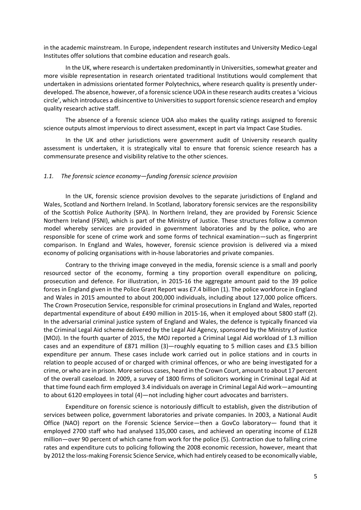in the academic mainstream. In Europe, independent research institutes and University Medico-Legal Institutes offer solutions that combine education and research goals.

In the UK, where research is undertaken predominantly in Universities, somewhat greater and more visible representation in research orientated traditional Institutions would complement that undertaken in admissions orientated former Polytechnics, where research quality is presently underdeveloped. The absence, however, of a forensic science UOA in these research audits creates a 'vicious circle', which introduces a disincentive to Universities to support forensic science research and employ quality research active staff.

The absence of a forensic science UOA also makes the quality ratings assigned to forensic science outputs almost impervious to direct assessment, except in part via Impact Case Studies.

In the UK and other jurisdictions were government audit of University research quality assessment is undertaken, it is strategically vital to ensure that forensic science research has a commensurate presence and visibility relative to the other sciences.

#### *1.1. The forensic science economy—funding forensic science provision*

In the UK, forensic science provision devolves to the separate jurisdictions of England and Wales, Scotland and Northern Ireland. In Scotland, laboratory forensic services are the responsibility of the Scottish Police Authority (SPA). In Northern Ireland, they are provided by Forensic Science Northern Ireland (FSNI), which is part of the Ministry of Justice. These structures follow a common model whereby services are provided in government laboratories and by the police, who are responsible for scene of crime work and some forms of technical examination—such as fingerprint comparison. In England and Wales, however, forensic science provision is delivered via a mixed economy of policing organisations with in-house laboratories and private companies.

Contrary to the thriving image conveyed in the media, forensic science is a small and poorly resourced sector of the economy, forming a tiny proportion overall expenditure on policing, prosecution and defence. For illustration, in 2015-16 the aggregate amount paid to the 39 police forces in England given in the Police Grant Report was £7.4 billion (1). The police workforce in England and Wales in 2015 amounted to about 200,000 individuals, including about 127,000 police officers. The Crown Prosecution Service, responsible for criminal prosecutions in England and Wales, reported departmental expenditure of about £490 million in 2015-16, when it employed about 5800 staff (2). In the adversarial criminal justice system of England and Wales, the defence is typically financed via the Criminal Legal Aid scheme delivered by the Legal Aid Agency, sponsored by the Ministry of Justice (MOJ). In the fourth quarter of 2015, the MOJ reported a Criminal Legal Aid workload of 1.3 million cases and an expenditure of £871 million (3)—roughly equating to 5 million cases and £3.5 billion expenditure per annum. These cases include work carried out in police stations and in courts in relation to people accused of or charged with criminal offences, or who are being investigated for a crime, or who are in prison. More serious cases, heard in the Crown Court, amount to about 17 percent of the overall caseload. In 2009, a survey of 1800 firms of solicitors working in Criminal Legal Aid at that time found each firm employed 3.4 individuals on average in Criminal Legal Aid work—amounting to about 6120 employees in total (4)—not including higher court advocates and barristers.

Expenditure on forensic science is notoriously difficult to establish, given the distribution of services between police, government laboratories and private companies. In 2003, a National Audit Office (NAO) report on the Forensic Science Service—then a GovCo laboratory— found that it employed 2700 staff who had analysed 135,000 cases, and achieved an operating income of £128 million—over 90 percent of which came from work for the police (5). Contraction due to falling crime rates and expenditure cuts to policing following the 2008 economic recession, however, meant that by 2012 the loss-making Forensic Science Service, which had entirely ceased to be economically viable,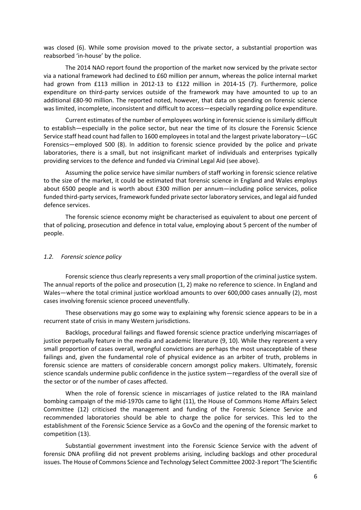was closed (6). While some provision moved to the private sector, a substantial proportion was reabsorbed 'in-house' by the police.

The 2014 NAO report found the proportion of the market now serviced by the private sector via a national framework had declined to £60 million per annum, whereas the police internal market had grown from £113 million in 2012-13 to £122 million in 2014-15 (7). Furthermore, police expenditure on third-party services outside of the framework may have amounted to up to an additional £80-90 million. The reported noted, however, that data on spending on forensic science was limited, incomplete, inconsistent and difficult to access—especially regarding police expenditure.

Current estimates of the number of employees working in forensic science is similarly difficult to establish—especially in the police sector, but near the time of its closure the Forensic Science Service staff head count had fallen to 1600 employees in total and the largest private laboratory—LGC Forensics—employed 500 (8). In addition to forensic science provided by the police and private laboratories, there is a small, but not insignificant market of individuals and enterprises typically providing services to the defence and funded via Criminal Legal Aid (see above).

Assuming the police service have similar numbers of staff working in forensic science relative to the size of the market, it could be estimated that forensic science in England and Wales employs about 6500 people and is worth about £300 million per annum—including police services, police funded third-party services, framework funded private sector laboratory services, and legal aid funded defence services.

The forensic science economy might be characterised as equivalent to about one percent of that of policing, prosecution and defence in total value, employing about 5 percent of the number of people.

#### *1.2. Forensic science policy*

Forensic science thus clearly represents a very small proportion of the criminal justice system. The annual reports of the police and prosecution (1, 2) make no reference to science. In England and Wales—where the total criminal justice workload amounts to over 600,000 cases annually (2), most cases involving forensic science proceed uneventfully.

These observations may go some way to explaining why forensic science appears to be in a recurrent state of crisis in many Western jurisdictions.

Backlogs, procedural failings and flawed forensic science practice underlying miscarriages of justice perpetually feature in the media and academic literature (9, 10). While they represent a very small proportion of cases overall, wrongful convictions are perhaps the most unacceptable of these failings and, given the fundamental role of physical evidence as an arbiter of truth, problems in forensic science are matters of considerable concern amongst policy makers. Ultimately, forensic science scandals undermine public confidence in the justice system—regardless of the overall size of the sector or of the number of cases affected.

When the role of forensic science in miscarriages of justice related to the IRA mainland bombing campaign of the mid-1970s came to light (11), the House of Commons Home Affairs Select Committee (12) criticised the management and funding of the Forensic Science Service and recommended laboratories should be able to charge the police for services. This led to the establishment of the Forensic Science Service as a GovCo and the opening of the forensic market to competition (13).

Substantial government investment into the Forensic Science Service with the advent of forensic DNA profiling did not prevent problems arising, including backlogs and other procedural issues. The House of Commons Science and Technology Select Committee 2002-3 report 'The Scientific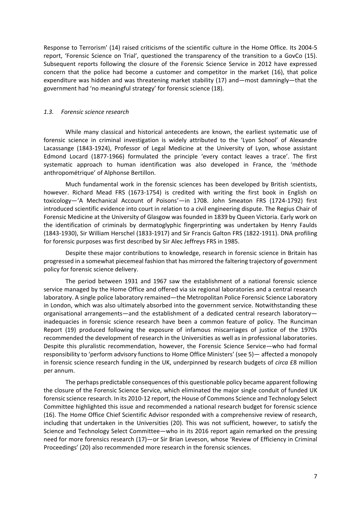Response to Terrorism' (14) raised criticisms of the scientific culture in the Home Office. Its 2004-5 report, 'Forensic Science on Trial', questioned the transparency of the transition to a GovCo (15). Subsequent reports following the closure of the Forensic Science Service in 2012 have expressed concern that the police had become a customer and competitor in the market (16), that police expenditure was hidden and was threatening market stability (17) and—most damningly—that the government had 'no meaningful strategy' for forensic science (18).

#### *1.3. Forensic science research*

While many classical and historical antecedents are known, the earliest systematic use of forensic science in criminal investigation is widely attributed to the 'Lyon School' of Alexandre Lacassange (1843-1924), Professor of Legal Medicine at the University of Lyon, whose assistant Edmond Locard (1877-1966) formulated the principle 'every contact leaves a trace'. The first systematic approach to human identification was also developed in France, the 'méthode anthropométrique' of Alphonse Bertillon.

Much fundamental work in the forensic sciences has been developed by British scientists, however. Richard Mead FRS (1673-1754) is credited with writing the first book in English on toxicology—'A Mechanical Account of Poisons'—in 1708. John Smeaton FRS (1724-1792) first introduced scientific evidence into court in relation to a civil engineering dispute. The Regius Chair of Forensic Medicine at the University of Glasgow was founded in 1839 by Queen Victoria. Early work on the identification of criminals by dermatoglyphic fingerprinting was undertaken by Henry Faulds (1843-1930), Sir William Herschel (1833-1917) and Sir Francis Galton FRS (1822-1911). DNA profiling for forensic purposes was first described by Sir Alec Jeffreys FRS in 1985.

Despite these major contributions to knowledge, research in forensic science in Britain has progressed in a somewhat piecemeal fashion that has mirrored the faltering trajectory of government policy for forensic science delivery.

The period between 1931 and 1967 saw the establishment of a national forensic science service managed by the Home Office and offered via six regional laboratories and a central research laboratory. A single police laboratory remained—the Metropolitan Police Forensic Science Laboratory in London, which was also ultimately absorbed into the government service. Notwithstanding these organisational arrangements—and the establishment of a dedicated central research laboratory inadequacies in forensic science research have been a common feature of policy. The Runciman Report (19) produced following the exposure of infamous miscarriages of justice of the 1970s recommended the development of research in the Universities as well as in professional laboratories. Despite this pluralistic recommendation, however, the Forensic Science Service—who had formal responsibility to 'perform advisory functions to Home Office Ministers' (see 5)— affected a monopoly in forensic science research funding in the UK, underpinned by research budgets of *circa* £8 million per annum.

The perhaps predictable consequences of this questionable policy became apparent following the closure of the Forensic Science Service, which eliminated the major single conduit of funded UK forensic science research. In its 2010-12 report, the House of Commons Science and Technology Select Committee highlighted this issue and recommended a national research budget for forensic science (16). The Home Office Chief Scientific Advisor responded with a comprehensive review of research, including that undertaken in the Universities (20). This was not sufficient, however, to satisfy the Science and Technology Select Committee—who in its 2016 report again remarked on the pressing need for more forensics research (17)—or Sir Brian Leveson, whose 'Review of Efficiency in Criminal Proceedings' (20) also recommended more research in the forensic sciences.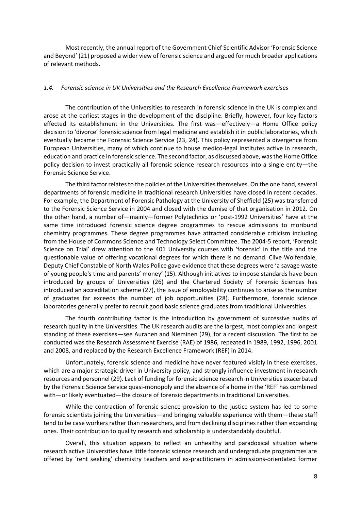Most recently, the annual report of the Government Chief Scientific Advisor 'Forensic Science and Beyond' (21) proposed a wider view of forensic science and argued for much broader applications of relevant methods.

#### *1.4. Forensic science in UK Universities and the Research Excellence Framework exercises*

The contribution of the Universities to research in forensic science in the UK is complex and arose at the earliest stages in the development of the discipline. Briefly, however, four key factors effected its establishment in the Universities. The first was—effectively—a Home Office policy decision to 'divorce' forensic science from legal medicine and establish it in public laboratories, which eventually became the Forensic Science Service (23, 24). This policy represented a divergence from European Universities, many of which continue to house medico-legal institutes active in research, education and practice in forensic science. The second factor, as discussed above, was the Home Office policy decision to invest practically all forensic science research resources into a single entity—the Forensic Science Service.

The third factor relates to the policies of the Universities themselves. On the one hand, several departments of forensic medicine in traditional research Universities have closed in recent decades. For example, the Department of Forensic Pathology at the University of Sheffield (25) was transferred to the Forensic Science Service in 2004 and closed with the demise of that organisation in 2012. On the other hand, a number of—mainly—former Polytechnics or 'post-1992 Universities' have at the same time introduced forensic science degree programmes to rescue admissions to moribund chemistry programmes. These degree programmes have attracted considerable criticism including from the House of Commons Science and Technology Select Committee. The 2004-5 report, 'Forensic Science on Trial' drew attention to the 401 University courses with 'forensic' in the title and the questionable value of offering vocational degrees for which there is no demand. Clive Wolfendale, Deputy Chief Constable of North Wales Police gave evidence that these degrees were 'a savage waste of young people's time and parents' money' (15). Although initiatives to impose standards have been introduced by groups of Universities (26) and the Chartered Society of Forensic Sciences has introduced an accreditation scheme (27), the issue of employability continues to arise as the number of graduates far exceeds the number of job opportunities (28). Furthermore, forensic science laboratories generally prefer to recruit good basic science graduates from traditional Universities.

The fourth contributing factor is the introduction by government of successive audits of research quality in the Universities. The UK research audits are the largest, most complex and longest standing of these exercises—see Auranen and Nieminen (29), for a recent discussion. The first to be conducted was the Research Assessment Exercise (RAE) of 1986, repeated in 1989, 1992, 1996, 2001 and 2008, and replaced by the Research Excellence Framework (REF) in 2014.

Unfortunately, forensic science and medicine have never featured visibly in these exercises, which are a major strategic driver in University policy, and strongly influence investment in research resources and personnel (29). Lack of funding for forensic science research in Universities exacerbated by the Forensic Science Service quasi-monopoly and the absence of a home in the 'REF' has combined with—or likely eventuated—the closure of forensic departments in traditional Universities.

While the contraction of forensic science provision to the justice system has led to some forensic scientists joining the Universities—and bringing valuable experience with them—these staff tend to be case workers rather than researchers, and from declining disciplines rather than expanding ones. Their contribution to quality research and scholarship is understandably doubtful.

Overall, this situation appears to reflect an unhealthy and paradoxical situation where research active Universities have little forensic science research and undergraduate programmes are offered by 'rent seeking' chemistry teachers and ex-practitioners in admissions-orientated former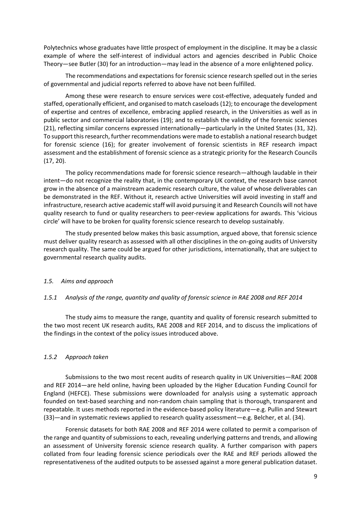Polytechnics whose graduates have little prospect of employment in the discipline. It may be a classic example of where the self-interest of individual actors and agencies described in Public Choice Theory—see Butler (30) for an introduction—may lead in the absence of a more enlightened policy.

The recommendations and expectations for forensic science research spelled out in the series of governmental and judicial reports referred to above have not been fulfilled.

Among these were research to ensure services were cost-effective, adequately funded and staffed, operationally efficient, and organised to match caseloads (12); to encourage the development of expertise and centres of excellence, embracing applied research, in the Universities as well as in public sector and commercial laboratories (19); and to establish the validity of the forensic sciences (21), reflecting similar concerns expressed internationally—particularly in the United States (31, 32). To support this research, further recommendations were made to establish a national research budget for forensic science (16); for greater involvement of forensic scientists in REF research impact assessment and the establishment of forensic science as a strategic priority for the Research Councils (17, 20).

The policy recommendations made for forensic science research—although laudable in their intent—do not recognize the reality that, in the contemporary UK context, the research base cannot grow in the absence of a mainstream academic research culture, the value of whose deliverables can be demonstrated in the REF. Without it, research active Universities will avoid investing in staff and infrastructure, research active academic staff will avoid pursuing it and Research Councils will not have quality research to fund or quality researchers to peer-review applications for awards. This 'vicious circle' will have to be broken for quality forensic science research to develop sustainably.

The study presented below makes this basic assumption, argued above, that forensic science must deliver quality research as assessed with all other disciplines in the on-going audits of University research quality. The same could be argued for other jurisdictions, internationally, that are subject to governmental research quality audits.

#### *1.5. Aims and approach*

#### *1.5.1 Analysis of the range, quantity and quality of forensic science in RAE 2008 and REF 2014*

The study aims to measure the range, quantity and quality of forensic research submitted to the two most recent UK research audits, RAE 2008 and REF 2014, and to discuss the implications of the findings in the context of the policy issues introduced above.

#### *1.5.2 Approach taken*

Submissions to the two most recent audits of research quality in UK Universities—RAE 2008 and REF 2014—are held online, having been uploaded by the Higher Education Funding Council for England (HEFCE). These submissions were downloaded for analysis using a systematic approach founded on text-based searching and non-random chain sampling that is thorough, transparent and repeatable. It uses methods reported in the evidence-based policy literature—e.g. Pullin and Stewart (33)—and in systematic reviews applied to research quality assessment—e.g. Belcher, et al. (34).

Forensic datasets for both RAE 2008 and REF 2014 were collated to permit a comparison of the range and quantity of submissions to each, revealing underlying patterns and trends, and allowing an assessment of University forensic science research quality. A further comparison with papers collated from four leading forensic science periodicals over the RAE and REF periods allowed the representativeness of the audited outputs to be assessed against a more general publication dataset.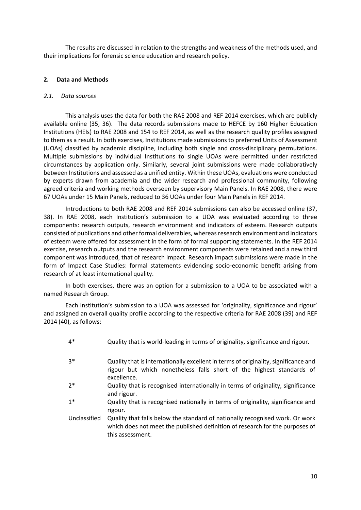The results are discussed in relation to the strengths and weakness of the methods used, and their implications for forensic science education and research policy.

### **2. Data and Methods**

### *2.1. Data sources*

This analysis uses the data for both the RAE 2008 and REF 2014 exercises, which are publicly available online (35, 36). The data records submissions made to HEFCE by 160 Higher Education Institutions (HEIs) to RAE 2008 and 154 to REF 2014, as well as the research quality profiles assigned to them as a result. In both exercises, Institutions made submissions to preferred Units of Assessment (UOAs) classified by academic discipline, including both single and cross-disciplinary permutations. Multiple submissions by individual Institutions to single UOAs were permitted under restricted circumstances by application only. Similarly, several joint submissions were made collaboratively between Institutions and assessed as a unified entity. Within these UOAs, evaluations were conducted by experts drawn from academia and the wider research and professional community, following agreed criteria and working methods overseen by supervisory Main Panels. In RAE 2008, there were 67 UOAs under 15 Main Panels, reduced to 36 UOAs under four Main Panels in REF 2014.

Introductions to both RAE 2008 and REF 2014 submissions can also be accessed online (37, 38). In RAE 2008, each Institution's submission to a UOA was evaluated according to three components: research outputs, research environment and indicators of esteem. Research outputs consisted of publications and other formal deliverables, whereas research environment and indicators of esteem were offered for assessment in the form of formal supporting statements. In the REF 2014 exercise, research outputs and the research environment components were retained and a new third component was introduced, that of research impact. Research impact submissions were made in the form of Impact Case Studies: formal statements evidencing socio-economic benefit arising from research of at least international quality.

In both exercises, there was an option for a submission to a UOA to be associated with a named Research Group.

Each Institution's submission to a UOA was assessed for 'originality, significance and rigour' and assigned an overall quality profile according to the respective criteria for RAE 2008 (39) and REF 2014 (40), as follows:

| $4*$         | Quality that is world-leading in terms of originality, significance and rigour.                                                                                                  |
|--------------|----------------------------------------------------------------------------------------------------------------------------------------------------------------------------------|
| $3*$         | Quality that is internationally excellent in terms of originality, significance and<br>rigour but which nonetheless falls short of the highest standards of<br>excellence.       |
| $2*$         | Quality that is recognised internationally in terms of originality, significance<br>and rigour.                                                                                  |
| $1*$         | Quality that is recognised nationally in terms of originality, significance and<br>rigour.                                                                                       |
| Unclassified | Quality that falls below the standard of nationally recognised work. Or work<br>which does not meet the published definition of research for the purposes of<br>this assessment. |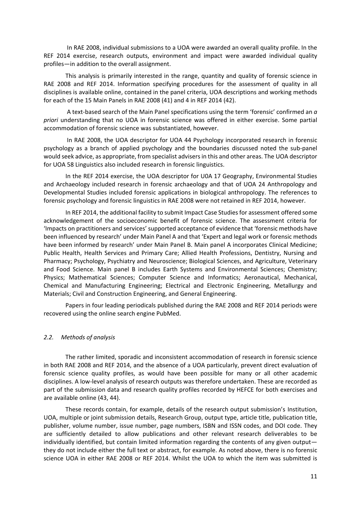In RAE 2008, individual submissions to a UOA were awarded an overall quality profile. In the REF 2014 exercise, research outputs, environment and impact were awarded individual quality profiles—in addition to the overall assignment.

This analysis is primarily interested in the range, quantity and quality of forensic science in RAE 2008 and REF 2014. Information specifying procedures for the assessment of quality in all disciplines is available online, contained in the panel criteria, UOA descriptions and working methods for each of the 15 Main Panels in RAE 2008 (41) and 4 in REF 2014 (42).

A text-based search of the Main Panel specifications using the term 'forensic' confirmed an *a priori* understanding that no UOA in forensic science was offered in either exercise. Some partial accommodation of forensic science was substantiated, however.

In RAE 2008, the UOA descriptor for UOA 44 Psychology incorporated research in forensic psychology as a branch of applied psychology and the boundaries discussed noted the sub-panel would seek advice, as appropriate, from specialist advisers in this and other areas. The UOA descriptor for UOA 58 Linguistics also included research in forensic linguistics.

In the REF 2014 exercise, the UOA descriptor for U0A 17 Geography, Environmental Studies and Archaeology included research in forensic archaeology and that of UOA 24 Anthropology and Developmental Studies included forensic applications in biological anthropology. The references to forensic psychology and forensic linguistics in RAE 2008 were not retained in REF 2014, however.

In REF 2014, the additional facility to submit Impact Case Studies for assessment offered some acknowledgement of the socioeconomic benefit of forensic science. The assessment criteria for 'Impacts on practitioners and services'supported acceptance of evidence that 'forensic methods have been influenced by research' under Main Panel A and that 'Expert and legal work or forensic methods have been informed by research' under Main Panel B. Main panel A incorporates Clinical Medicine; Public Health, Health Services and Primary Care; Allied Health Professions, Dentistry, Nursing and Pharmacy; Psychology, Psychiatry and Neuroscience; Biological Sciences, and Agriculture, Veterinary and Food Science. Main panel B includes Earth Systems and Environmental Sciences; Chemistry; Physics; Mathematical Sciences; Computer Science and Informatics; Aeronautical, Mechanical, Chemical and Manufacturing Engineering; Electrical and Electronic Engineering, Metallurgy and Materials; Civil and Construction Engineering, and General Engineering.

Papers in four leading periodicals published during the RAE 2008 and REF 2014 periods were recovered using the online search engine PubMed.

#### *2.2. Methods of analysis*

The rather limited, sporadic and inconsistent accommodation of research in forensic science in both RAE 2008 and REF 2014, and the absence of a UOA particularly, prevent direct evaluation of forensic science quality profiles, as would have been possible for many or all other academic disciplines. A low-level analysis of research outputs was therefore undertaken. These are recorded as part of the submission data and research quality profiles recorded by HEFCE for both exercises and are available online (43, 44).

These records contain, for example, details of the research output submission's Institution, UOA, multiple or joint submission details, Research Group, output type, article title, publication title, publisher, volume number, issue number, page numbers, ISBN and ISSN codes, and DOI code. They are sufficiently detailed to allow publications and other relevant research deliverables to be individually identified, but contain limited information regarding the contents of any given output they do not include either the full text or abstract, for example. As noted above, there is no forensic science UOA in either RAE 2008 or REF 2014. Whilst the UOA to which the item was submitted is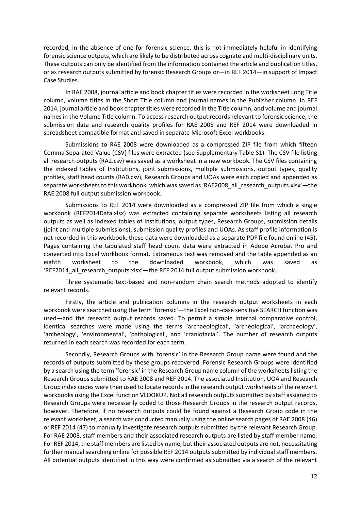recorded, in the absence of one for forensic science, this is not immediately helpful in identifying forensic science outputs, which are likely to be distributed across cognate and multi-disciplinary units. These outputs can only be identified from the information contained the article and publication titles, or as research outputs submitted by forensic Research Groups or—in REF 2014—in support of Impact Case Studies.

In RAE 2008, journal article and book chapter titles were recorded in the worksheet Long Title column, volume titles in the Short Title column and journal names in the Publisher column. In REF 2014, journal article and book chapter titles were recorded in the Title column, and volume and journal names in the Volume Title column. To access research output records relevant to forensic science, the submission data and research quality profiles for RAE 2008 and REF 2014 were downloaded in spreadsheet compatible format and saved in separate Microsoft Excel workbooks.

Submissions to RAE 2008 were downloaded as a compressed ZIP file from which fifteen Comma Separated Value (CSV) files were extracted (see Supplementary Table S1). The CSV file listing all research outputs (RA2.csv) was saved as a worksheet in a new workbook. The CSV files containing the indexed tables of Institutions, joint submissions, multiple submissions, output types, quality profiles, staff head counts (RA0.csv), Research Groups and UOAs were each copied and appended as separate worksheets to this workbook, which was saved as 'RAE2008\_all\_research\_outputs.xlsx'—the RAE 2008 full output submission workbook.

Submissions to REF 2014 were downloaded as a compressed ZIP file from which a single workbook (REF2014Data.xlsx) was extracted containing separate worksheets listing all research outputs as well as indexed tables of Institutions, output types, Research Groups, submission details (joint and multiple submissions), submission quality profiles and UOAs. As staff profile information is not recorded in this workbook, these data were downloaded as a separate PDF file found online (45). Pages containing the tabulated staff head count data were extracted in Adobe Acrobat Pro and converted into Excel workbook format. Extraneous text was removed and the table appended as an eighth worksheet to the downloaded workbook, which was saved as 'REF2014 all research outputs.xlsx'—the REF 2014 full output submission workbook.

Three systematic text-based and non-random chain search methods adopted to identify relevant records.

Firstly, the article and publication columns in the research output worksheets in each workbook were searched using the term 'forensic'—the Excel non-case sensitive SEARCH function was used—and the research output records saved. To permit a simple internal comparative control, identical searches were made using the terms 'archaeological', 'archeological', 'archaeology', 'archeology', 'environmental', 'pathological', and 'craniofacial'. The number of research outputs returned in each search was recorded for each term.

Secondly, Research Groups with 'forensic' in the Research Group name were found and the records of outputs submitted by these groups recovered. Forensic Research Groups were identified by a search using the term 'forensic' in the Research Group name column of the worksheets listing the Research Groups submitted to RAE 2008 and REF 2014. The associated Institution, UOA and Research Group index codes were then used to locate records in the research output worksheets of the relevant workbooks using the Excel function VLOOKUP. Not all research outputs submitted by staff assigned to Research Groups were necessarily coded to those Research Groups in the research output records, however. Therefore, if no research outputs could be found against a Research Group code in the relevant worksheet, a search was conducted manually using the online search pages of RAE 2008 (46) or REF 2014 (47) to manually investigate research outputs submitted by the relevant Research Group. For RAE 2008, staff members and their associated research outputs are listed by staff member name. For REF 2014, the staff members are listed by name, but their associated outputs are not, necessitating further manual searching online for possible REF 2014 outputs submitted by individual staff members. All potential outputs identified in this way were confirmed as submitted via a search of the relevant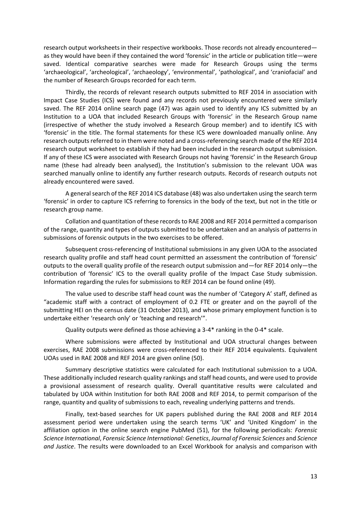research output worksheets in their respective workbooks. Those records not already encountered as they would have been if they contained the word 'forensic' in the article or publication title—were saved. Identical comparative searches were made for Research Groups using the terms 'archaeological', 'archeological', 'archaeology', 'environmental', 'pathological', and 'craniofacial' and the number of Research Groups recorded for each term.

Thirdly, the records of relevant research outputs submitted to REF 2014 in association with Impact Case Studies (ICS) were found and any records not previously encountered were similarly saved. The REF 2014 online search page (47) was again used to identify any ICS submitted by an Institution to a UOA that included Research Groups with 'forensic' in the Research Group name (irrespective of whether the study involved a Research Group member) and to identify ICS with 'forensic' in the title. The formal statements for these ICS were downloaded manually online. Any research outputs referred to in them were noted and a cross-referencing search made of the REF 2014 research output worksheet to establish if they had been included in the research output submission. If any of these ICS were associated with Research Groups not having 'forensic' in the Research Group name (these had already been analysed), the Institution's submission to the relevant UOA was searched manually online to identify any further research outputs. Records of research outputs not already encountered were saved.

A general search of the REF 2014 ICS database (48) was also undertaken using the search term 'forensic' in order to capture ICS referring to forensics in the body of the text, but not in the title or research group name.

Collation and quantitation of these records to RAE 2008 and REF 2014 permitted a comparison of the range, quantity and types of outputs submitted to be undertaken and an analysis of patterns in submissions of forensic outputs in the two exercises to be offered.

Subsequent cross-referencing of Institutional submissions in any given UOA to the associated research quality profile and staff head count permitted an assessment the contribution of 'forensic' outputs to the overall quality profile of the research output submission and—for REF 2014 only—the contribution of 'forensic' ICS to the overall quality profile of the Impact Case Study submission. Information regarding the rules for submissions to REF 2014 can be found online (49).

The value used to describe staff head count was the number of 'Category A' staff, defined as "academic staff with a contract of employment of 0.2 FTE or greater and on the payroll of the submitting HEI on the census date (31 October 2013), and whose primary employment function is to undertake either 'research only' or 'teaching and research'".

Quality outputs were defined as those achieving a 3-4\* ranking in the 0-4\* scale.

Where submissions were affected by Institutional and UOA structural changes between exercises, RAE 2008 submissions were cross-referenced to their REF 2014 equivalents. Equivalent UOAs used in RAE 2008 and REF 2014 are given online (50).

Summary descriptive statistics were calculated for each Institutional submission to a UOA. These additionally included research quality rankings and staff head counts, and were used to provide a provisional assessment of research quality. Overall quantitative results were calculated and tabulated by UOA within Institution for both RAE 2008 and REF 2014, to permit comparison of the range, quantity and quality of submissions to each, revealing underlying patterns and trends.

Finally, text-based searches for UK papers published during the RAE 2008 and REF 2014 assessment period were undertaken using the search terms 'UK' and 'United Kingdom' in the affiliation option in the online search engine PubMed (51), for the following periodicals: *Forensic Science International*, *Forensic Science International: Genetics*, *Journal of Forensic Sciences* and *Science and Justice*. The results were downloaded to an Excel Workbook for analysis and comparison with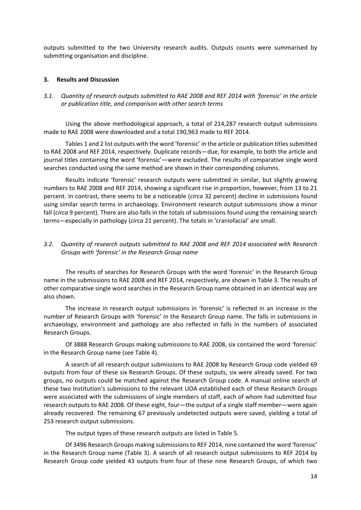outputs submitted to the two University research audits. Outputs counts were summarised by submitting organisation and discipline.

### **3. Results and Discussion**

*3.1. Quantity of research outputs submitted to RAE 2008 and REF 2014 with 'forensic' in the article or publication title, and comparison with other search terms*

Using the above methodological approach, a total of 214,287 research output submissions made to RAE 2008 were downloaded and a total 190,963 made to REF 2014.

Tables 1 and 2 list outputs with the word 'forensic' in the article or publication titles submitted to RAE 2008 and REF 2014, respectively. Duplicate records—due, for example, to both the article and journal titles containing the word 'forensic'—were excluded. The results of comparative single word searches conducted using the same method are shown in their corresponding columns.

Results indicate 'forensic' research outputs were submitted in similar, but slightly growing numbers to RAE 2008 and REF 2014, showing a significant rise in proportion, however, from 13 to 21 percent. In contrast, there seems to be a noticeable (*circa* 32 percent) decline in submissions found using similar search terms in archaeology. Environment research output submissions show a minor fall (*circa* 9 percent). There are also falls in the totals of submissions found using the remaining search terms—especially in pathology (*circa* 21 percent). The totals in 'craniofacial' are small.

### *3.2. Quantity of research outputs submitted to RAE 2008 and REF 2014 associated with Research Groups with 'forensic' in the Research Group name*

The results of searches for Research Groups with the word 'forensic' in the Research Group name in the submissions to RAE 2008 and REF 2014, respectively, are shown in Table 3. The results of other comparative single word searches in the Research Group name obtained in an identical way are also shown.

The increase in research output submissions in 'forensic' is reflected in an increase in the number of Research Groups with 'forensic' in the Research Group name. The falls in submissions in archaeology, environment and pathology are also reflected in falls in the numbers of associated Research Groups.

Of 3888 Research Groups making submissions to RAE 2008, six contained the word 'forensic' in the Research Group name (see Table 4).

A search of all research output submissions to RAE 2008 by Research Group code yielded 69 outputs from four of these six Research Groups. Of these outputs, six were already saved. For two groups, no outputs could be matched against the Research Group code. A manual online search of these two Institution's submissions to the relevant UOA established each of these Research Groups were associated with the submissions of single members of staff, each of whom had submitted four research outputs to RAE 2008. Of these eight, four—the output of a single staff member—were again already recovered. The remaining 67 previously undetected outputs were saved, yielding a total of 253 research output submissions.

The output types of these research outputs are listed in Table 5.

Of 3496 Research Groups making submissions to REF 2014, nine contained the word 'forensic' in the Research Group name (Table 3). A search of all research output submissions to REF 2014 by Research Group code yielded 43 outputs from four of these nine Research Groups, of which two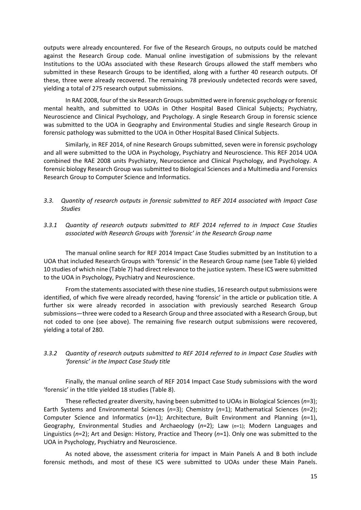outputs were already encountered. For five of the Research Groups, no outputs could be matched against the Research Group code. Manual online investigation of submissions by the relevant Institutions to the UOAs associated with these Research Groups allowed the staff members who submitted in these Research Groups to be identified, along with a further 40 research outputs. Of these, three were already recovered. The remaining 78 previously undetected records were saved, yielding a total of 275 research output submissions.

In RAE 2008, four of the six Research Groups submitted were in forensic psychology or forensic mental health, and submitted to UOAs in Other Hospital Based Clinical Subjects; Psychiatry, Neuroscience and Clinical Psychology, and Psychology. A single Research Group in forensic science was submitted to the UOA in Geography and Environmental Studies and single Research Group in forensic pathology was submitted to the UOA in Other Hospital Based Clinical Subjects.

Similarly, in REF 2014, of nine Research Groups submitted, seven were in forensic psychology and all were submitted to the UOA in Psychology, Psychiatry and Neuroscience. This REF 2014 UOA combined the RAE 2008 units Psychiatry, Neuroscience and Clinical Psychology, and Psychology. A forensic biology Research Group was submitted to Biological Sciences and a Multimedia and Forensics Research Group to Computer Science and Informatics.

- *3.3. Quantity of research outputs in forensic submitted to REF 2014 associated with Impact Case Studies*
- *3.3.1 Quantity of research outputs submitted to REF 2014 referred to in Impact Case Studies associated with Research Groups with 'forensic' in the Research Group name*

The manual online search for REF 2014 Impact Case Studies submitted by an Institution to a UOA that included Research Groups with 'forensic' in the Research Group name (see Table 6) yielded 10 studies of which nine (Table 7) had direct relevance to the justice system. These ICS were submitted to the UOA in Psychology, Psychiatry and Neuroscience.

From the statements associated with these nine studies, 16 research output submissions were identified, of which five were already recorded, having 'forensic' in the article or publication title. A further six were already recorded in association with previously searched Research Group submissions—three were coded to a Research Group and three associated with a Research Group, but not coded to one (see above). The remaining five research output submissions were recovered, yielding a total of 280.

## *3.3.2 Quantity of research outputs submitted to REF 2014 referred to in Impact Case Studies with 'forensic' in the Impact Case Study title*

Finally, the manual online search of REF 2014 Impact Case Study submissions with the word 'forensic' in the title yielded 18 studies (Table 8).

These reflected greater diversity, having been submitted to UOAs in Biological Sciences (*n*=3); Earth Systems and Environmental Sciences (*n*=3); Chemistry (*n*=1); Mathematical Sciences (*n*=2); Computer Science and Informatics (*n*=1); Architecture, Built Environment and Planning (*n*=1), Geography, Environmental Studies and Archaeology (*n*=2); Law (*n*=1); Modern Languages and Linguistics (*n*=2); Art and Design: History, Practice and Theory (*n*=1). Only one was submitted to the UOA in Psychology, Psychiatry and Neuroscience.

As noted above, the assessment criteria for impact in Main Panels A and B both include forensic methods, and most of these ICS were submitted to UOAs under these Main Panels.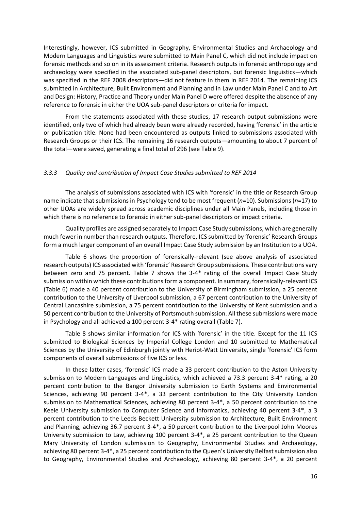Interestingly, however, ICS submitted in Geography, Environmental Studies and Archaeology and Modern Languages and Linguistics were submitted to Main Panel C, which did not include impact on forensic methods and so on in its assessment criteria. Research outputs in forensic anthropology and archaeology were specified in the associated sub-panel descriptors, but forensic linguistics—which was specified in the REF 2008 descriptors—did not feature in them in REF 2014. The remaining ICS submitted in Architecture, Built Environment and Planning and in Law under Main Panel C and to Art and Design: History, Practice and Theory under Main Panel D were offered despite the absence of any reference to forensic in either the UOA sub-panel descriptors or criteria for impact.

From the statements associated with these studies, 17 research output submissions were identified, only two of which had already been were already recorded, having 'forensic' in the article or publication title. None had been encountered as outputs linked to submissions associated with Research Groups or their ICS. The remaining 16 research outputs—amounting to about 7 percent of the total—were saved, generating a final total of 296 (see Table 9).

#### *3.3.3 Quality and contribution of Impact Case Studies submitted to REF 2014*

The analysis of submissions associated with ICS with 'forensic' in the title or Research Group name indicate that submissions in Psychology tend to be most frequent (*n*=10). Submissions (*n*=17) to other UOAs are widely spread across academic disciplines under all Main Panels, including those in which there is no reference to forensic in either sub-panel descriptors or impact criteria.

Quality profiles are assigned separately to Impact Case Study submissions, which are generally much fewer in number than research outputs. Therefore, ICS submitted by 'forensic' Research Groups form a much larger component of an overall Impact Case Study submission by an Institution to a UOA.

Table 6 shows the proportion of forensically-relevant (see above analysis of associated research outputs) ICS associated with 'forensic' Research Group submissions. These contributions vary between zero and 75 percent. Table 7 shows the 3-4\* rating of the overall Impact Case Study submission within which these contributions form a component. In summary, forensically-relevant ICS (Table 6) made a 40 percent contribution to the University of Birmingham submission, a 25 percent contribution to the University of Liverpool submission, a 67 percent contribution to the University of Central Lancashire submission, a 75 percent contribution to the University of Kent submission and a 50 percent contribution to the University of Portsmouth submission. All these submissions were made in Psychology and all achieved a 100 percent 3-4\* rating overall (Table 7).

Table 8 shows similar information for ICS with 'forensic' in the title. Except for the 11 ICS submitted to Biological Sciences by Imperial College London and 10 submitted to Mathematical Sciences by the University of Edinburgh jointly with Heriot-Watt University, single 'forensic' ICS form components of overall submissions of five ICS or less.

In these latter cases, 'forensic' ICS made a 33 percent contribution to the Aston University submission to Modern Languages and Linguistics, which achieved a 73.3 percent 3-4\* rating, a 20 percent contribution to the Bangor University submission to Earth Systems and Environmental Sciences, achieving 90 percent 3-4\*, a 33 percent contribution to the City University London submission to Mathematical Sciences, achieving 80 percent 3-4\*, a 50 percent contribution to the Keele University submission to Computer Science and Informatics, achieving 40 percent 3-4\*, a 3 percent contribution to the Leeds Beckett University submission to Architecture, Built Environment and Planning, achieving 36.7 percent 3-4\*, a 50 percent contribution to the Liverpool John Moores University submission to Law, achieving 100 percent 3-4\*, a 25 percent contribution to the Queen Mary University of London submission to Geography, Environmental Studies and Archaeology, achieving 80 percent 3-4\*, a 25 percent contribution to the Queen's University Belfast submission also to Geography, Environmental Studies and Archaeology, achieving 80 percent 3-4\*, a 20 percent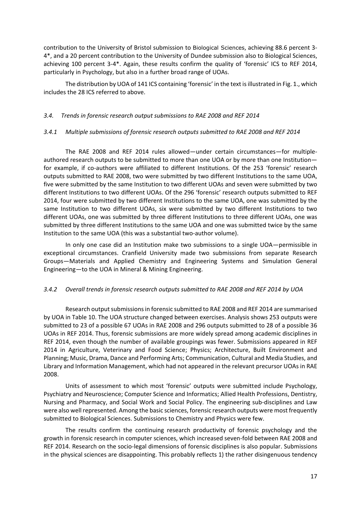contribution to the University of Bristol submission to Biological Sciences, achieving 88.6 percent 3- 4\*, and a 20 percent contribution to the University of Dundee submission also to Biological Sciences, achieving 100 percent 3-4\*. Again, these results confirm the quality of 'forensic' ICS to REF 2014, particularly in Psychology, but also in a further broad range of UOAs.

The distribution by UOA of 141 ICS containing 'forensic' in the text is illustrated in Fig. 1., which includes the 28 ICS referred to above.

#### *3.4. Trends in forensic research output submissions to RAE 2008 and REF 2014*

#### *3.4.1 Multiple submissions of forensic research outputs submitted to RAE 2008 and REF 2014*

The RAE 2008 and REF 2014 rules allowed—under certain circumstances—for multipleauthored research outputs to be submitted to more than one UOA or by more than one Institution for example, if co-authors were affiliated to different Institutions. Of the 253 'forensic' research outputs submitted to RAE 2008, two were submitted by two different Institutions to the same UOA, five were submitted by the same Institution to two different UOAs and seven were submitted by two different Institutions to two different UOAs. Of the 296 'forensic' research outputs submitted to REF 2014, four were submitted by two different Institutions to the same UOA, one was submitted by the same Institution to two different UOAs, six were submitted by two different Institutions to two different UOAs, one was submitted by three different Institutions to three different UOAs, one was submitted by three different Institutions to the same UOA and one was submitted twice by the same Institution to the same UOA (this was a substantial two-author volume).

In only one case did an Institution make two submissions to a single UOA—permissible in exceptional circumstances. Cranfield University made two submissions from separate Research Groups—Materials and Applied Chemistry and Engineering Systems and Simulation General Engineering—to the UOA in Mineral & Mining Engineering.

#### *3.4.2 Overall trends in forensic research outputs submitted to RAE 2008 and REF 2014 by UOA*

Research output submissions in forensic submitted to RAE 2008 and REF 2014 are summarised by UOA in Table 10. The UOA structure changed between exercises. Analysis shows 253 outputs were submitted to 23 of a possible 67 UOAs in RAE 2008 and 296 outputs submitted to 28 of a possible 36 UOAs in REF 2014. Thus, forensic submissions are more widely spread among academic disciplines in REF 2014, even though the number of available groupings was fewer. Submissions appeared in REF 2014 in Agriculture, Veterinary and Food Science; Physics; Architecture, Built Environment and Planning; Music, Drama, Dance and Performing Arts; Communication, Cultural and Media Studies, and Library and Information Management, which had not appeared in the relevant precursor UOAs in RAE 2008.

Units of assessment to which most 'forensic' outputs were submitted include Psychology, Psychiatry and Neuroscience; Computer Science and Informatics; Allied Health Professions, Dentistry, Nursing and Pharmacy, and Social Work and Social Policy. The engineering sub-disciplines and Law were also well represented. Among the basic sciences, forensic research outputs were most frequently submitted to Biological Sciences. Submissions to Chemistry and Physics were few.

The results confirm the continuing research productivity of forensic psychology and the growth in forensic research in computer sciences, which increased seven-fold between RAE 2008 and REF 2014. Research on the socio-legal dimensions of forensic disciplines is also popular. Submissions in the physical sciences are disappointing. This probably reflects 1) the rather disingenuous tendency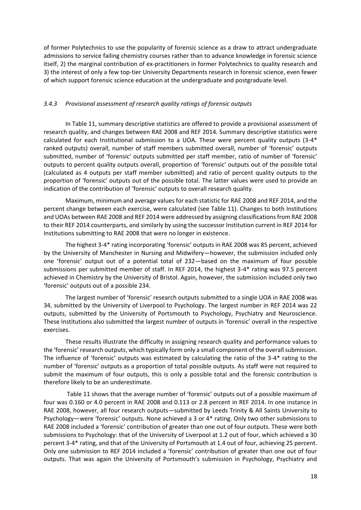of former Polytechnics to use the popularity of forensic science as a draw to attract undergraduate admissions to service failing chemistry courses rather than to advance knowledge in forensic science itself, 2) the marginal contribution of ex-practitioners in former Polytechnics to quality research and 3) the interest of only a few top-tier University Departments research in forensic science, even fewer of which support forensic science education at the undergraduate and postgraduate level.

### *3.4.3 Provisional assessment of research quality ratings of forensic outputs*

In Table 11, summary descriptive statistics are offered to provide a provisional assessment of research quality, and changes between RAE 2008 and REF 2014. Summary descriptive statistics were calculated for each Institutional submission to a UOA. These were percent quality outputs (3-4\* ranked outputs) overall, number of staff members submitted overall, number of 'forensic' outputs submitted, number of 'forensic' outputs submitted per staff member, ratio of number of 'forensic' outputs to percent quality outputs overall, proportion of 'forensic' outputs out of the possible total (calculated as 4 outputs per staff member submitted) and ratio of percent quality outputs to the proportion of 'forensic' outputs out of the possible total. The latter values were used to provide an indication of the contribution of 'forensic' outputs to overall research quality.

Maximum, minimum and average values for each statistic for RAE 2008 and REF 2014, and the percent change between each exercise, were calculated (see Table 11). Changes to both Institutions and UOAs between RAE 2008 and REF 2014 were addressed by assigning classifications from RAE 2008 to their REF 2014 counterparts, and similarly by using the successor Institution current in REF 2014 for Institutions submitting to RAE 2008 that were no longer in existence.

The highest 3-4\* rating incorporating 'forensic' outputs in RAE 2008 was 85 percent, achieved by the University of Manchester in Nursing and Midwifery—however, the submission included only one 'forensic' output out of a potential total of 232—based on the maximum of four possible submissions per submitted member of staff. In REF 2014, the highest 3-4\* rating was 97.5 percent achieved in Chemistry by the University of Bristol. Again, however, the submission included only two 'forensic' outputs out of a possible 234.

The largest number of 'forensic' research outputs submitted to a single UOA in RAE 2008 was 34, submitted by the University of Liverpool to Psychology. The largest number in REF 2014 was 22 outputs, submitted by the University of Portsmouth to Psychology, Psychiatry and Neuroscience. These Institutions also submitted the largest number of outputs in 'forensic' overall in the respective exercises.

These results illustrate the difficulty in assigning research quality and performance values to the 'forensic' research outputs, which typically form only a small component of the overall submission. The influence of 'forensic' outputs was estimated by calculating the ratio of the 3-4\* rating to the number of 'forensic' outputs as a proportion of total possible outputs. As staff were not required to submit the maximum of four outputs, this is only a possible total and the forensic contribution is therefore likely to be an underestimate.

Table 11 shows that the average number of 'forensic' outputs out of a possible maximum of four was 0.160 or 4.0 percent in RAE 2008 and 0.113 or 2.8 percent in REF 2014. In one instance in RAE 2008, however, all four research outputs—submitted by Leeds Trinity & All Saints University to Psychology—were 'forensic' outputs. None achieved a 3 or 4\* rating. Only two other submissions to RAE 2008 included a 'forensic' contribution of greater than one out of four outputs. These were both submissions to Psychology: that of the University of Liverpool at 1.2 out of four, which achieved a 30 percent 3-4\* rating, and that of the University of Portsmouth at 1.4 out of four, achieving 25 percent. Only one submission to REF 2014 included a 'forensic' contribution of greater than one out of four outputs. That was again the University of Portsmouth's submission in Psychology, Psychiatry and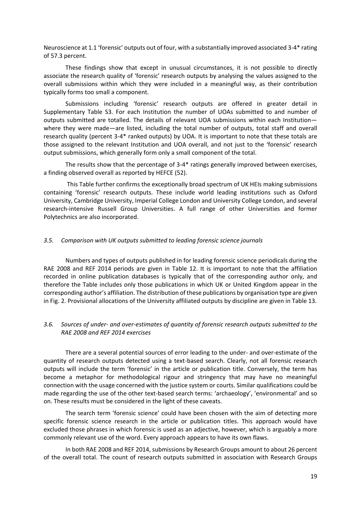Neuroscience at 1.1 'forensic' outputs out of four, with a substantially improved associated 3-4\* rating of 57.3 percent.

These findings show that except in unusual circumstances, it is not possible to directly associate the research quality of 'forensic' research outputs by analysing the values assigned to the overall submissions within which they were included in a meaningful way, as their contribution typically forms too small a component.

Submissions including 'forensic' research outputs are offered in greater detail in Supplementary Table S3. For each Institution the number of UOAs submitted to and number of outputs submitted are totalled. The details of relevant UOA submissions within each Institution where they were made—are listed, including the total number of outputs, total staff and overall research quality (percent 3-4\* ranked outputs) by UOA. It is important to note that these totals are those assigned to the relevant Institution and UOA overall, and not just to the 'forensic' research output submissions, which generally form only a small component of the total.

The results show that the percentage of 3-4\* ratings generally improved between exercises, a finding observed overall as reported by HEFCE (52).

This Table further confirms the exceptionally broad spectrum of UK HEIs making submissions containing 'forensic' research outputs. These include world leading institutions such as Oxford University, Cambridge University, Imperial College London and University College London, and several research-intensive Russell Group Universities. A full range of other Universities and former Polytechnics are also incorporated.

#### *3.5. Comparison with UK outputs submitted to leading forensic science journals*

Numbers and types of outputs published in for leading forensic science periodicals during the RAE 2008 and REF 2014 periods are given in Table 12. It is important to note that the affiliation recorded in online publication databases is typically that of the corresponding author only, and therefore the Table includes only those publications in which UK or United Kingdom appear in the corresponding author's affiliation. The distribution of these publications by organisation type are given in Fig. 2. Provisional allocations of the University affiliated outputs by discipline are given in Table 13.

## *3.6. Sources of under- and over-estimates of quantity of forensic research outputs submitted to the RAE 2008 and REF 2014 exercises*

There are a several potential sources of error leading to the under- and over-estimate of the quantity of research outputs detected using a text-based search. Clearly, not all forensic research outputs will include the term 'forensic' in the article or publication title. Conversely, the term has become a metaphor for methodological rigour and stringency that may have no meaningful connection with the usage concerned with the justice system or courts. Similar qualifications could be made regarding the use of the other text-based search terms: 'archaeology', 'environmental' and so on. These results must be considered in the light of these caveats.

The search term 'forensic science' could have been chosen with the aim of detecting more specific forensic science research in the article or publication titles. This approach would have excluded those phrases in which forensic is used as an adjective, however, which is arguably a more commonly relevant use of the word. Every approach appears to have its own flaws.

In both RAE 2008 and REF 2014, submissions by Research Groups amount to about 26 percent of the overall total. The count of research outputs submitted in association with Research Groups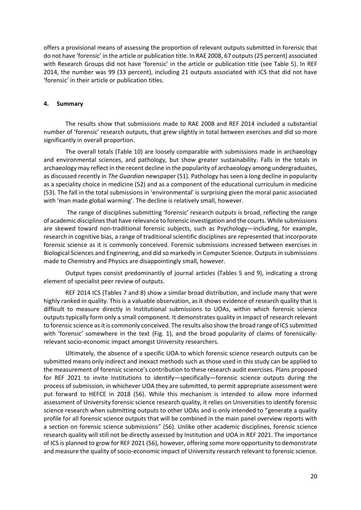offers a provisional means of assessing the proportion of relevant outputs submitted in forensic that do not have 'forensic' in the article or publication title. In RAE 2008, 67 outputs(25 percent) associated with Research Groups did not have 'forensic' in the article or publication title (see Table 5). In REF 2014, the number was 99 (33 percent), including 21 outputs associated with ICS that did not have 'forensic' in their article or publication titles.

## **4. Summary**

The results show that submissions made to RAE 2008 and REF 2014 included a substantial number of 'forensic' research outputs, that grew slightly in total between exercises and did so more significantly in overall proportion.

The overall totals (Table 10) are loosely comparable with submissions made in archaeology and environmental sciences, and pathology, but show greater sustainability. Falls in the totals in archaeology may reflect in the recent decline in the popularity of archaeology among undergraduates, as discussed recently in *The Guardian* newspaper (51). Pathology has seen a long decline in popularity as a speciality choice in medicine (52) and as a component of the educational curriculum in medicine (53). The fall in the total submissions in 'environmental' is surprising given the moral panic associated with 'man made global warming'. The decline is relatively small, however.

The range of disciplines submitting 'forensic' research outputs is broad, reflecting the range of academic disciplines that have relevance to forensic investigation and the courts. While submissions are skewed toward non-traditional forensic subjects, such as Psychology—including, for example, research in cognitive bias, a range of traditional scientific disciplines are represented that incorporate forensic science as it is commonly conceived. Forensic submissions increased between exercises in Biological Sciences and Engineering, and did so markedly in Computer Science. Outputs in submissions made to Chemistry and Physics are disappointingly small, however.

Output types consist predominantly of journal articles (Tables 5 and 9), indicating a strong element of specialist peer review of outputs.

REF 2014 ICS (Tables 7 and 8) show a similar broad distribution, and include many that were highly ranked in quality. This is a valuable observation, as it shows evidence of research quality that is difficult to measure directly in Institutional submissions to UOAs, within which forensic science outputs typically form only a small component. It demonstrates quality in impact of research relevant to forensic science as it is commonly conceived. The results also show the broad range of ICS submitted with 'forensic' somewhere in the text (Fig. 1), and the broad popularity of claims of forensicallyrelevant socio-economic impact amongst University researchers.

Ultimately, the absence of a specific UOA to which forensic science research outputs can be submitted means only indirect and inexact methods such as those used in this study can be applied to the measurement of forensic science's contribution to these research audit exercises. Plans proposed for REF 2021 to invite Institutions to identify—specifically—forensic science outputs during the process of submission, in whichever UOA they are submitted, to permit appropriate assessment were put forward to HEFCE in 2018 (56). While this mechanism is intended to allow more informed assessment of University forensic science research quality, it relies on Universities to identify forensic science research when submitting outputs to other UOAs and is only intended to "generate a quality profile for all forensic science outputs that will be combined in the main panel overview reports with a section on forensic science submissions" (56). Unlike other academic disciplines, forensic science research quality will still not be directly assessed by Institution and UOA in REF 2021. The importance of ICS is planned to grow for REF 2021 (56), however, offering some more opportunity to demonstrate and measure the quality of socio-economic impact of University research relevant to forensic science.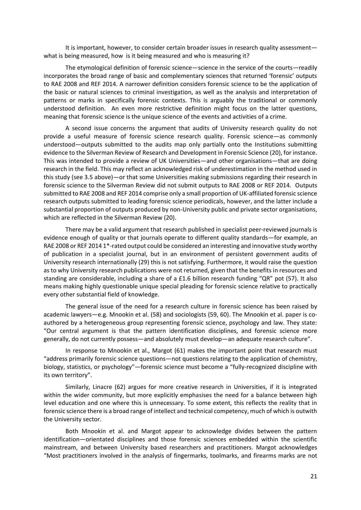It is important, however, to consider certain broader issues in research quality assessment what is being measured, how is it being measured and who is measuring it?

The etymological definition of forensic science—science in the service of the courts—readily incorporates the broad range of basic and complementary sciences that returned 'forensic' outputs to RAE 2008 and REF 2014. A narrower definition considers forensic science to be the application of the basic or natural sciences to criminal investigation, as well as the analysis and interpretation of patterns or marks in specifically forensic contexts. This is arguably the traditional or commonly understood definition. An even more restrictive definition might focus on the latter questions, meaning that forensic science is the unique science of the events and activities of a crime.

A second issue concerns the argument that audits of University research quality do not provide a useful measure of forensic science research quality. Forensic science—as commonly understood—outputs submitted to the audits map only partially onto the Institutions submitting evidence to the Silverman Review of Research and Development in Forensic Science (20), for instance. This was intended to provide a review of UK Universities—and other organisations—that are doing research in the field. This may reflect an acknowledged risk of underestimation in the method used in this study (see 3.5 above)—or that some Universities making submissions regarding their research in forensic science to the Silverman Review did not submit outputs to RAE 2008 or REF 2014. Outputs submitted to RAE 2008 and REF 2014 comprise only a small proportion of UK-affiliated forensic science research outputs submitted to leading forensic science periodicals, however, and the latter include a substantial proportion of outputs produced by non-University public and private sector organisations, which are reflected in the Silverman Review (20).

There may be a valid argument that research published in specialist peer-reviewed journals is evidence enough of quality or that journals operate to different quality standards—for example, an RAE 2008 or REF 2014 1\*-rated output could be considered an interesting and innovative study worthy of publication in a specialist journal, but in an environment of persistent government audits of University research internationally (29) this is not satisfying. Furthermore, it would raise the question as to why University research publications were not returned, given that the benefits in resources and standing are considerable, including a share of a £1.6 billion research funding "QR" pot (57). It also means making highly questionable unique special pleading for forensic science relative to practically every other substantial field of knowledge.

The general issue of the need for a research culture in forensic science has been raised by academic lawyers—e.g. Mnookin et al. (58) and sociologists (59, 60). The Mnookin et al. paper is coauthored by a heterogeneous group representing forensic science, psychology and law. They state: "Our central argument is that the pattern identification disciplines, and forensic science more generally, do not currently possess—and absolutely must develop—an adequate research culture".

In response to Mnookin et al., Margot (61) makes the important point that research must "address primarily forensic science questions—not questions relating to the application of chemistry, biology, statistics, or psychology"—forensic science must become a "fully-recognized discipline with its own territory".

Similarly, Linacre (62) argues for more creative research in Universities, if it is integrated within the wider community, but more explicitly emphasises the need for a balance between high level education and one where this is unnecessary. To some extent, this reflects the reality that in forensic science there is a broad range of intellect and technical competency, much of which is outwith the University sector.

Both Mnookin et al. and Margot appear to acknowledge divides between the pattern identification—orientated disciplines and those forensic sciences embedded within the scientific mainstream, and between University based researchers and practitioners. Margot acknowledges "Most practitioners involved in the analysis of fingermarks, toolmarks, and firearms marks are not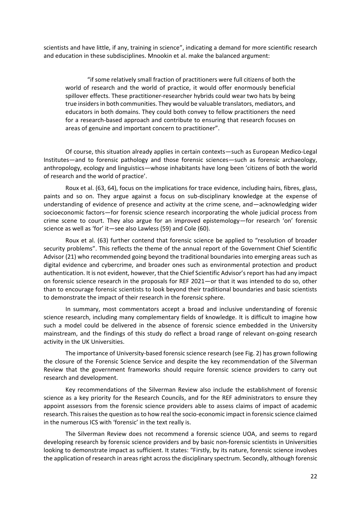scientists and have little, if any, training in science", indicating a demand for more scientific research and education in these subdisciplines. Mnookin et al. make the balanced argument:

"if some relatively small fraction of practitioners were full citizens of both the world of research and the world of practice, it would offer enormously beneficial spillover effects. These practitioner-researcher hybrids could wear two hats by being true insiders in both communities. They would be valuable translators, mediators, and educators in both domains. They could both convey to fellow practitioners the need for a research-based approach and contribute to ensuring that research focuses on areas of genuine and important concern to practitioner".

Of course, this situation already applies in certain contexts—such as European Medico-Legal Institutes—and to forensic pathology and those forensic sciences—such as forensic archaeology, anthropology, ecology and linguistics—whose inhabitants have long been 'citizens of both the world of research and the world of practice'.

Roux et al. (63, 64), focus on the implications for trace evidence, including hairs, fibres, glass, paints and so on. They argue against a focus on sub-disciplinary knowledge at the expense of understanding of evidence of presence and activity at the crime scene, and—acknowledging wider socioeconomic factors—for forensic science research incorporating the whole judicial process from crime scene to court. They also argue for an improved epistemology—for research 'on' forensic science as well as 'for' it—see also Lawless (59) and Cole (60).

Roux et al. (63) further contend that forensic science be applied to "resolution of broader security problems". This reflects the theme of the annual report of the Government Chief Scientific Advisor (21) who recommended going beyond the traditional boundaries into emerging areas such as digital evidence and cybercrime, and broader ones such as environmental protection and product authentication. It is not evident, however, that the Chief Scientific Advisor's report has had any impact on forensic science research in the proposals for REF 2021—or that it was intended to do so, other than to encourage forensic scientists to look beyond their traditional boundaries and basic scientists to demonstrate the impact of their research in the forensic sphere.

In summary, most commentators accept a broad and inclusive understanding of forensic science research, including many complementary fields of knowledge. It is difficult to imagine how such a model could be delivered in the absence of forensic science embedded in the University mainstream, and the findings of this study do reflect a broad range of relevant on-going research activity in the UK Universities.

The importance of University-based forensic science research (see Fig. 2) has grown following the closure of the Forensic Science Service and despite the key recommendation of the Silverman Review that the government frameworks should require forensic science providers to carry out research and development.

Key recommendations of the Silverman Review also include the establishment of forensic science as a key priority for the Research Councils, and for the REF administrators to ensure they appoint assessors from the forensic science providers able to assess claims of impact of academic research. This raises the question as to how real the socio-economic impact in forensic science claimed in the numerous ICS with 'forensic' in the text really is.

The Silverman Review does not recommend a forensic science UOA, and seems to regard developing research by forensic science providers and by basic non-forensic scientists in Universities looking to demonstrate impact as sufficient. It states: "Firstly, by its nature, forensic science involves the application of research in areas right across the disciplinary spectrum. Secondly, although forensic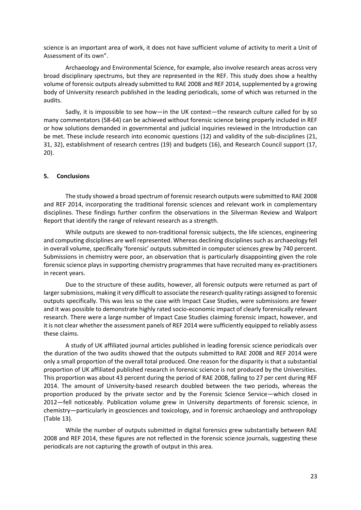science is an important area of work, it does not have sufficient volume of activity to merit a Unit of Assessment of its own".

Archaeology and Environmental Science, for example, also involve research areas across very broad disciplinary spectrums, but they are represented in the REF. This study does show a healthy volume of forensic outputs already submitted to RAE 2008 and REF 2014, supplemented by a growing body of University research published in the leading periodicals, some of which was returned in the audits.

Sadly, it is impossible to see how—in the UK context—the research culture called for by so many commentators (58-64) can be achieved without forensic science being properly included in REF or how solutions demanded in governmental and judicial inquiries reviewed in the Introduction can be met. These include research into economic questions (12) and validity of the sub-disciplines (21, 31, 32), establishment of research centres (19) and budgets (16), and Research Council support (17, 20).

### **5. Conclusions**

The study showed a broad spectrum of forensic research outputs were submitted to RAE 2008 and REF 2014, incorporating the traditional forensic sciences and relevant work in complementary disciplines. These findings further confirm the observations in the Silverman Review and Walport Report that identify the range of relevant research as a strength.

While outputs are skewed to non-traditional forensic subjects, the life sciences, engineering and computing disciplines are well represented. Whereas declining disciplines such as archaeology fell in overall volume, specifically 'forensic' outputs submitted in computer sciences grew by 740 percent. Submissions in chemistry were poor, an observation that is particularly disappointing given the role forensic science plays in supporting chemistry programmes that have recruited many ex-practitioners in recent years.

Due to the structure of these audits, however, all forensic outputs were returned as part of larger submissions, making it very difficult to associate the research quality ratings assigned to forensic outputs specifically. This was less so the case with Impact Case Studies, were submissions are fewer and it was possible to demonstrate highly rated socio-economic impact of clearly forensically relevant research. There were a large number of Impact Case Studies claiming forensic impact, however, and it is not clear whether the assessment panels of REF 2014 were sufficiently equipped to reliably assess these claims.

A study of UK affiliated journal articles published in leading forensic science periodicals over the duration of the two audits showed that the outputs submitted to RAE 2008 and REF 2014 were only a small proportion of the overall total produced. One reason for the disparity is that a substantial proportion of UK affiliated published research in forensic science is not produced by the Universities. This proportion was about 43 percent during the period of RAE 2008, falling to 27 per cent during REF 2014. The amount of University-based research doubled between the two periods, whereas the proportion produced by the private sector and by the Forensic Science Service—which closed in 2012—fell noticeably. Publication volume grew in University departments of forensic science, in chemistry—particularly in geosciences and toxicology, and in forensic archaeology and anthropology (Table 13).

While the number of outputs submitted in digital forensics grew substantially between RAE 2008 and REF 2014, these figures are not reflected in the forensic science journals, suggesting these periodicals are not capturing the growth of output in this area.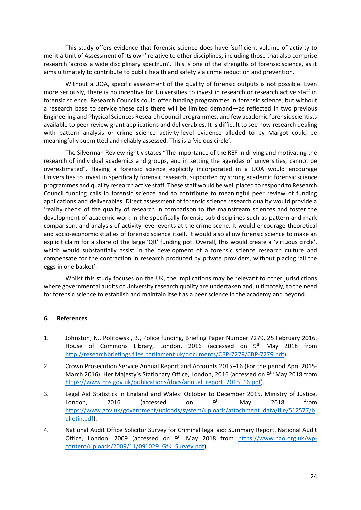This study offers evidence that forensic science does have 'sufficient volume of activity to merit a Unit of Assessment of its own' relative to other disciplines, including those that also comprise research 'across a wide disciplinary spectrum'. This is one of the strengths of forensic science, as it aims ultimately to contribute to public health and safety via crime reduction and prevention.

Without a UOA, specific assessment of the quality of forensic outputs is not possible. Even more seriously, there is no incentive for Universities to invest in research or research active staff in forensic science. Research Councils could offer funding programmes in forensic science, but without a research base to service these calls there will be limited demand—as reflected in two previous Engineering and Physical Sciences Research Council programmes, and few academic forensic scientists available to peer review grant applications and deliverables. It is difficult to see how research dealing with pattern analysis or crime science activity-level evidence alluded to by Margot could be meaningfully submitted and reliably assessed. This is a 'vicious circle'.

The Silverman Review rightly states "The importance of the REF in driving and motivating the research of individual academics and groups, and in setting the agendas of universities, cannot be overestimated". Having a forensic science explicitly incorporated in a UOA would encourage Universities to invest in specifically forensic research, supported by strong academic forensic science programmes and quality research active staff. These staff would be well placed to respond to Research Council funding calls in forensic science and to contribute to meaningful peer review of funding applications and deliverables. Direct assessment of forensic science research quality would provide a 'reality check' of the quality of research in comparison to the mainstream sciences and foster the development of academic work in the specifically-forensic sub-disciplines such as pattern and mark comparison, and analysis of activity level events at the crime scene. It would encourage theoretical and socio-economic studies of forensic science itself. It would also allow forensic science to make an explicit claim for a share of the large 'QR' funding pot. Overall, this would create a 'virtuous circle', which would substantially assist in the development of a forensic science research culture and compensate for the contraction in research produced by private providers, without placing 'all the eggs in one basket'.

Whilst this study focuses on the UK, the implications may be relevant to other jurisdictions where governmental audits of University research quality are undertaken and, ultimately, to the need for forensic science to establish and maintain itself as a peer science in the academy and beyond.

#### **6. References**

- 1. Johnston, N., Politowski, B., Police funding, Briefing Paper Number 7279, 25 February 2016. House of Commons Library, London, 2016 (accessed on 9<sup>th</sup> May 2018 from [http://researchbriefings.files.parliament.uk/documents/CBP-7279/CBP-7279.pdf\)](http://researchbriefings.files.parliament.uk/documents/CBP-7279/CBP-7279.pdf).
- 2. Crown Prosecution Service Annual Report and Accounts 2015–16 (For the period April 2015- March 2016). Her Majesty's Stationary Office, London, 2016 (accessed on 9<sup>th</sup> May 2018 from [https://www.cps.gov.uk/publications/docs/annual\\_report\\_2015\\_16.pdf\)](https://www.cps.gov.uk/publications/docs/annual_report_2015_16.pdf).
- 3. Legal Aid Statistics in England and Wales: October to December 2015. Ministry of Justice, London, 2016 (accessed on 9<sup>th</sup> May 2018 from [https://www.gov.uk/government/uploads/system/uploads/attachment\\_data/file/512577/b](https://www.gov.uk/government/uploads/system/uploads/attachment_data/file/512577/bulletin.pdf) [ulletin.pdf\)](https://www.gov.uk/government/uploads/system/uploads/attachment_data/file/512577/bulletin.pdf).
- 4. National Audit Office Solicitor Survey for Criminal legal aid: Summary Report. National Audit Office, London, 2009 (accessed on 9<sup>th</sup> May 2018 from [https://www.nao.org.uk/wp](https://www.nao.org.uk/wp-content/uploads/2009/11/091029_GfK_Survey.pdf)[content/uploads/2009/11/091029\\_GfK\\_Survey.pdf\)](https://www.nao.org.uk/wp-content/uploads/2009/11/091029_GfK_Survey.pdf).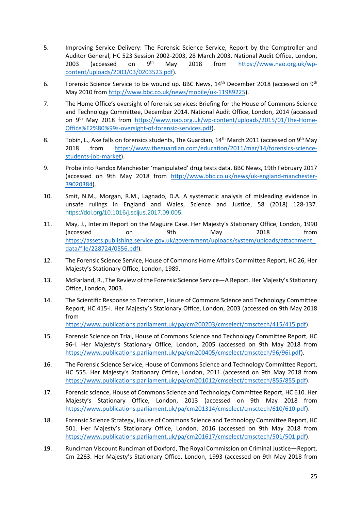- 5. Improving Service Delivery: The Forensic Science Service, Report by the Comptroller and Auditor General, HC 523 Session 2002-2003, 28 March 2003. National Audit Office, London, 2003 (accessed on  $9<sup>th</sup>$ May 2018 from [https://www.nao.org.uk/wp](https://www.nao.org.uk/wp-content/uploads/2003/03/0203523.pdf)[content/uploads/2003/03/0203523.pdf\)](https://www.nao.org.uk/wp-content/uploads/2003/03/0203523.pdf).
- 6. Forensic Science Service to be wound up. BBC News, 14<sup>th</sup> December 2018 (accessed on 9<sup>th</sup> May 2010 from [http://www.bbc.co.uk/news/mobile/uk-11989225\)](http://www.bbc.co.uk/news/mobile/uk-11989225).
- 7. The Home Office's oversight of forensic services: Briefing for the House of Commons Science and Technology Committee, December 2014. National Audit Office, London, 2014 (accessed on 9<sup>th</sup> May 2018 from [https://www.nao.org.uk/wp-content/uploads/2015/01/The-Home-](https://www.nao.org.uk/wp-content/uploads/2015/01/The-Home-Office%E2%80%99s-oversight-of-forensic-services.pdf)[Office%E2%80%99s-oversight-of-forensic-services.pdf\)](https://www.nao.org.uk/wp-content/uploads/2015/01/The-Home-Office%E2%80%99s-oversight-of-forensic-services.pdf).
- 8. Tobin, L., Axe falls on forensics students, The Guardian, 14<sup>th</sup> March 2011 (accessed on 9<sup>th</sup> May 2018 from [https://www.theguardian.com/education/2011/mar/14/forensics-science](https://www.theguardian.com/education/2011/mar/14/forensics-science-students-job-market)[students-job-market\)](https://www.theguardian.com/education/2011/mar/14/forensics-science-students-job-market).
- 9. Probe into Randox Manchester 'manipulated' drug tests data. BBC News, 19th February 2017 (accessed on 9th May 2018 from [http://www.bbc.co.uk/news/uk-england-manchester-](http://www.bbc.co.uk/news/uk-england-manchester-39020384)[39020384\)](http://www.bbc.co.uk/news/uk-england-manchester-39020384).
- 10. Smit, N.M., Morgan, R.M., Lagnado, D.A. A systematic analysis of misleading evidence in unsafe rulings in England and Wales, Science and Justice, 58 (2018) 128-137. <https://doi.org/10.1016/j.scijus.2017.09.005>.
- 11. May, J., Interim Report on the Maguire Case. Her Majesty's Stationary Office, London, 1990 (accessed on 9th May 2018 from [https://assets.publishing.service.gov.uk/government/uploads/system/uploads/attachment\\_](https://assets.publishing.service.gov.uk/government/uploads/system/uploads/attachment_data/file/228724/0556.pdf) [data/file/228724/0556.pdf\)](https://assets.publishing.service.gov.uk/government/uploads/system/uploads/attachment_data/file/228724/0556.pdf).
- 12. The Forensic Science Service, House of Commons Home Affairs Committee Report, HC 26, Her Majesty's Stationary Office, London, 1989.
- 13. McFarland, R., The Review of the Forensic Science Service—A Report. Her Majesty's Stationary Office, London, 2003.
- 14. The Scientific Response to Terrorism, House of Commons Science and Technology Committee Report, HC 415-I. Her Majesty's Stationary Office, London, 2003 (accessed on 9th May 2018 from

[https://www.publications.parliament.uk/pa/cm200203/cmselect/cmsctech/415/415.pdf\)](https://www.publications.parliament.uk/pa/cm200203/cmselect/cmsctech/415/415.pdf).

- 15. Forensic Science on Trial, House of Commons Science and Technology Committee Report, HC 96-I. Her Majesty's Stationary Office, London, 2005 (accessed on 9th May 2018 from [https://www.publications.parliament.uk/pa/cm200405/cmselect/cmsctech/96/96i.pdf\)](https://www.publications.parliament.uk/pa/cm200405/cmselect/cmsctech/96/96i.pdf).
- 16. The Forensic Science Service, House of Commons Science and Technology Committee Report, HC 555. Her Majesty's Stationary Office, London, 2011 (accessed on 9th May 2018 from [https://www.publications.parliament.uk/pa/cm201012/cmselect/cmsctech/855/855.pdf\)](https://www.publications.parliament.uk/pa/cm201012/cmselect/cmsctech/855/855.pdf).
- 17. Forensic science, House of Commons Science and Technology Committee Report, HC 610. Her Majesty's Stationary Office, London, 2013 (accessed on 9th May 2018 from [https://www.publications.parliament.uk/pa/cm201314/cmselect/cmsctech/610/610.pdf\)](https://www.publications.parliament.uk/pa/cm201314/cmselect/cmsctech/610/610.pdf).
- 18. Forensic Science Strategy, House of Commons Science and Technology Committee Report, HC 501. Her Majesty's Stationary Office, London, 2016 (accessed on 9th May 2018 from [https://www.publications.parliament.uk/pa/cm201617/cmselect/cmsctech/501/501.pdf\)](https://www.publications.parliament.uk/pa/cm201617/cmselect/cmsctech/501/501.pdf).
- 19. Runciman Viscount Runciman of Doxford, The Royal Commission on Criminal Justice—Report, Cm 2263. Her Majesty's Stationary Office, London, 1993 (accessed on 9th May 2018 from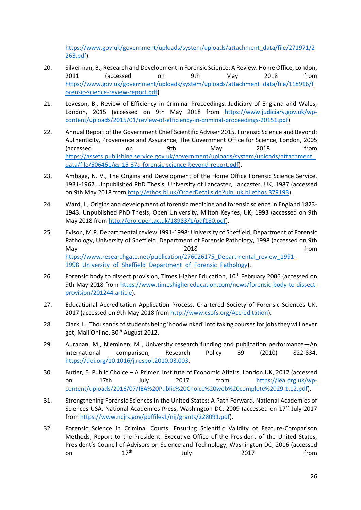[https://www.gov.uk/government/uploads/system/uploads/attachment\\_data/file/271971/2](https://www.gov.uk/government/uploads/system/uploads/attachment_data/file/271971/2263.pdf) [263.pdf\)](https://www.gov.uk/government/uploads/system/uploads/attachment_data/file/271971/2263.pdf).

- 20. Silverman, B., Research and Development in Forensic Science: A Review. Home Office, London, 2011 (accessed on 9th May 2018 from [https://www.gov.uk/government/uploads/system/uploads/attachment\\_data/file/118916/f](https://www.gov.uk/government/uploads/system/uploads/attachment_data/file/118916/forensic-science-review-report.pdf) [orensic-science-review-report.pdf\)](https://www.gov.uk/government/uploads/system/uploads/attachment_data/file/118916/forensic-science-review-report.pdf).
- 21. Leveson, B., Review of Efficiency in Criminal Proceedings. Judiciary of England and Wales, London, 2015 (accessed on 9th May 2018 from [https://www.judiciary.gov.uk/wp](https://www.judiciary.gov.uk/wp-content/uploads/2015/01/review-of-efficiency-in-criminal-proceedings-20151.pdf)[content/uploads/2015/01/review-of-efficiency-in-criminal-proceedings-20151.pdf\)](https://www.judiciary.gov.uk/wp-content/uploads/2015/01/review-of-efficiency-in-criminal-proceedings-20151.pdf).
- 22. Annual Report of the Government Chief Scientific Adviser 2015. Forensic Science and Beyond: Authenticity, Provenance and Assurance, The Government Office for Science, London, 2005 (accessed on 9th May 2018 from [https://assets.publishing.service.gov.uk/government/uploads/system/uploads/attachment\\_](https://assets.publishing.service.gov.uk/government/uploads/system/uploads/attachment_data/file/506461/gs-15-37a-forensic-science-beyond-report.pdf) [data/file/506461/gs-15-37a-forensic-science-beyond-report.pdf\)](https://assets.publishing.service.gov.uk/government/uploads/system/uploads/attachment_data/file/506461/gs-15-37a-forensic-science-beyond-report.pdf).
- 23. Ambage, N. V., The Origins and Development of the Home Office Forensic Science Service, 1931-1967. Unpublished PhD Thesis, University of Lancaster, Lancaster, UK, 1987 (accessed on 9th May 2018 from [http://ethos.bl.uk/OrderDetails.do?uin=uk.bl.ethos.379193\)](http://ethos.bl.uk/OrderDetails.do?uin=uk.bl.ethos.379193).
- 24. Ward, J., Origins and development of forensic medicine and forensic science in England 1823- 1943. Unpublished PhD Thesis, Open University, Milton Keynes, UK, 1993 (accessed on 9th May 2018 from [http://oro.open.ac.uk/18983/1/pdf180.pdf\)](http://oro.open.ac.uk/18983/1/pdf180.pdf).
- 25. Evison, M.P. Departmental review 1991-1998: University of Sheffield, Department of Forensic Pathology, University of Sheffield, Department of Forensic Pathology, 1998 (accessed on 9th May **2018 have a set of the COVID**[https://www.researchgate.net/publication/276026175\\_Departmental\\_review\\_1991-](https://www.researchgate.net/publication/276026175_Departmental_review_1991-1998_University_of_Sheffield_Department_of_Forensic_Pathology) 1998 University of Sheffield Department of Forensic Pathology).
- 26. Forensic body to dissect provision, Times Higher Education,  $10^{th}$  February 2006 (accessed on 9th May 2018 from [https://www.timeshighereducation.com/news/forensic-body-to-dissect](https://www.timeshighereducation.com/news/forensic-body-to-dissect-provision/201244.article)[provision/201244.article\)](https://www.timeshighereducation.com/news/forensic-body-to-dissect-provision/201244.article).
- 27. Educational Accreditation Application Process, Chartered Society of Forensic Sciences UK, 2017 (accessed on 9th May 2018 from [http://www.csofs.org/Accreditation\)](http://www.csofs.org/Accreditation).
- 28. Clark, L., Thousands of students being 'hoodwinked' into taking courses for jobs they will never get, Mail Online, 30<sup>th</sup> August 2012.
- 29. Auranan, M., Nieminen, M., University research funding and publication performance—An international comparison, Research Policy 39 (2010) 822-834. [https://doi.org/10.1016/j.respol.2010.03.003.](https://doi.org/10.1016/j.respol.2010.03.003)
- 30. Butler, E. Public Choice A Primer. Institute of Economic Affairs, London UK, 2012 (accessed on 17th July 2017 from [https://iea.org.uk/wp](https://iea.org.uk/wp-content/uploads/2016/07/IEA%20Public%20Choice%20web%20complete%2029.1.12.pdf)[content/uploads/2016/07/IEA%20Public%20Choice%20web%20complete%2029.1.12.pdf\)](https://iea.org.uk/wp-content/uploads/2016/07/IEA%20Public%20Choice%20web%20complete%2029.1.12.pdf).
- 31. Strengthening Forensic Sciences in the United States: A Path Forward, National Academies of Sciences USA. National Academies Press, Washington DC, 2009 (accessed on 17<sup>th</sup> July 2017 from [https://www.ncjrs.gov/pdffiles1/nij/grants/228091.pdf\)](https://www.ncjrs.gov/pdffiles1/nij/grants/228091.pdf).
- 32. Forensic Science in Criminal Courts: Ensuring Scientific Validity of Feature-Comparison Methods, Report to the President. Executive Office of the President of the United States, President's Council of Advisors on Science and Technology, Washington DC, 2016 (accessed on 17th July 2017 from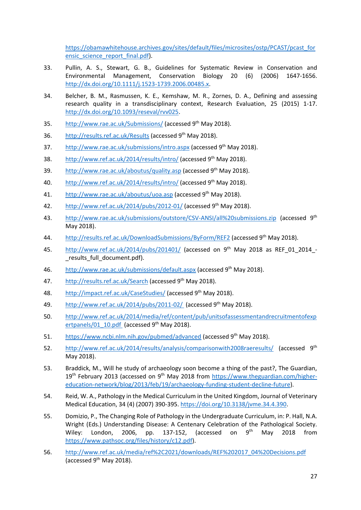[https://obamawhitehouse.archives.gov/sites/default/files/microsites/ostp/PCAST/pcast\\_for](https://obamawhitehouse.archives.gov/sites/default/files/microsites/ostp/PCAST/pcast_forensic_science_report_final.pdf) [ensic\\_science\\_report\\_final.pdf\)](https://obamawhitehouse.archives.gov/sites/default/files/microsites/ostp/PCAST/pcast_forensic_science_report_final.pdf).

- 33. Pullin, A. S., Stewart, G. B., Guidelines for Systematic Review in Conservation and Environmental Management, Conservation Biology 20 (6) (2006) 1647-1656. [http://dx.doi.org/10.1111/j.1523-1739.2006.00485.x.](http://dx.doi.org/10.1111/j.1523-1739.2006.00485.x)
- 34. Belcher, B. M., Rasmussen, K. E., Kemshaw, M. R., Zornes, D. A., Defining and assessing research quality in a transdisciplinary context, Research Evaluation, 25 (2015) 1-17. [http://dx.doi.org/10.1093/reseval/rvv025.](http://dx.doi.org/10.1093/reseval/rvv025)
- 35. <http://www.rae.ac.uk/Submissions/> (accessed 9th May 2018).
- 36. <http://results.ref.ac.uk/Results> (accessed 9<sup>th</sup> May 2018).
- 37. <http://www.rae.ac.uk/submissions/intro.aspx> (accessed 9<sup>th</sup> May 2018).
- 38. <http://www.ref.ac.uk/2014/results/intro/> (accessed 9th May 2018).
- 39. <http://www.rae.ac.uk/aboutus/quality.asp> (accessed 9<sup>th</sup> May 2018).
- 40. <http://www.ref.ac.uk/2014/results/intro/> (accessed 9<sup>th</sup> May 2018).
- 41. <http://www.rae.ac.uk/aboutus/uoa.asp> (accessed 9<sup>th</sup> May 2018).
- 42. <http://www.ref.ac.uk/2014/pubs/2012-01/> (accessed 9<sup>th</sup> May 2018).
- 43. <http://www.rae.ac.uk/submissions/outstore/CSV-ANSI/all%20submissions.zip> (accessed 9<sup>th</sup> May 2018).
- 44. <http://results.ref.ac.uk/DownloadSubmissions/ByForm/REF2> (accessed 9<sup>th</sup> May 2018).
- 45. <http://www.ref.ac.uk/2014/pubs/201401/> (accessed on 9<sup>th</sup> May 2018 as REF 01 2014 results full document.pdf).
- 46. <http://www.rae.ac.uk/submissions/default.aspx> (accessed 9<sup>th</sup> May 2018).
- 47. <http://results.ref.ac.uk/Search> (accessed 9th May 2018).
- 48. <http://impact.ref.ac.uk/CaseStudies/> (accessed 9<sup>th</sup> May 2018).
- 49. <http://www.ref.ac.uk/2014/pubs/2011-02/> (accessed 9th May 2018).
- 50. [http://www.ref.ac.uk/2014/media/ref/content/pub/unitsofassessmentandrecruitmentofexp](http://www.ref.ac.uk/2014/media/ref/content/pub/unitsofassessmentandrecruitmentofexpertpanels/01_10.pdf) [ertpanels/01\\_10.pdf](http://www.ref.ac.uk/2014/media/ref/content/pub/unitsofassessmentandrecruitmentofexpertpanels/01_10.pdf) (accessed 9<sup>th</sup> May 2018).
- 51. <https://www.ncbi.nlm.nih.gov/pubmed/advanced> (accessed 9<sup>th</sup> May 2018).
- 52. <http://www.ref.ac.uk/2014/results/analysis/comparisonwith2008raeresults/> (accessed 9th May 2018).
- 53. Braddick, M., Will he study of archaeology soon become a thing of the past?, The Guardian, 19<sup>th</sup> February 2013 (accessed on 9<sup>th</sup> May 2018 from [https://www.theguardian.com/higher](https://www.theguardian.com/higher-education-network/blog/2013/feb/19/archaeology-funding-student-decline-future)[education-network/blog/2013/feb/19/archaeology-funding-student-decline-future\)](https://www.theguardian.com/higher-education-network/blog/2013/feb/19/archaeology-funding-student-decline-future).
- 54. Reid, W. A., Pathology in the Medical Curriculum in the United Kingdom, Journal of Veterinary Medical Education, 34 (4) (2007) 390-395. [https://doi.org/10.3138/jvme.34.4.390.](https://doi.org/10.3138/jvme.34.4.390)
- 55. Domizio, P., The Changing Role of Pathology in the Undergraduate Curriculum, in: P. Hall, N.A. Wright (Eds.) Understanding Disease: A Centenary Celebration of the Pathological Society. Wiley: London, 2006, pp. 137-152, (accessed on  $9<sup>th</sup>$ May 2018 from [https://www.pathsoc.org/files/history/c12.pdf\)](https://www.pathsoc.org/files/history/c12.pdf).
- 56. [http://www.ref.ac.uk/media/ref%2C2021/downloads/REF%202017\\_04%20Decisions.pdf](http://www.ref.ac.uk/media/ref%2C2021/downloads/REF%202017_04%20Decisions.pdf) (accessed 9th May 2018).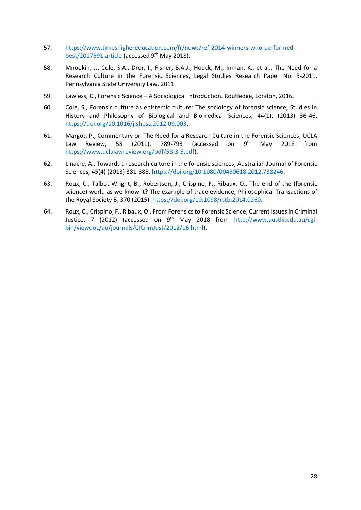- 57. [https://www.timeshighereducation.com/fr/news/ref-2014-winners-who-performed](https://www.timeshighereducation.com/fr/news/ref-2014-winners-who-performed-best/2017591.article)[best/2017591.article](https://www.timeshighereducation.com/fr/news/ref-2014-winners-who-performed-best/2017591.article) (accessed 9<sup>th</sup> May 2018).
- 58. Mnookin, J., Cole, S.A., Dror, I., Fisher, B.A.J., Houck, M., Inman, K., et al., The Need for a Research Culture in the Forensic Sciences, Legal Studies Research Paper No. 5-2011, Pennsylvania State University Law, 2011.
- 59. Lawless, C., Forensic Science A Sociological Introduction. Routledge, London, 2016.
- 60. Cole, S., Forensic culture as epistemic culture: The sociology of forensic science, Studies in History and Philosophy of Biological and Biomedical Sciences, 44(1), (2013) 36-46. [https://doi.org/10.1016/j.shpsc.2012.09.003.](https://doi.org/10.1016/j.shpsc.2012.09.003)
- 61. Margot, P., Commentary on The Need for a Research Culture in the Forensic Sciences, UCLA Law Review, 58 (2011), 789-793 (accessed on  $9<sup>th</sup>$ May 2018 from [https://www.uclalawreview.org/pdf/58-3-5.pdf\)](https://www.uclalawreview.org/pdf/58-3-5.pdf).
- 62. Linacre, A., Towards a research culture in the forensic sciences, Australian Journal of Forensic Sciences, 45(4) (2013) 381-388. [https://doi.org/10.1080/00450618.2012.738246.](https://doi.org/10.1080/00450618.2012.738246)
- 63. Roux, C., Talbot-Wright, B., Robertson, J., Crispino, F., Ribaux, O., The end of the (forensic science) world as we know it? The example of trace evidence, Philosophical Transactions of the Royal Society B, 370 (2015) [https://doi.org/10.1098/rstb.2014.0260.](https://doi.org/10.1098/rstb.2014.0260)
- 64. Roux, C., Crispino, F., Ribaux, O., From Forensics to Forensic Science, Current Issues in Criminal Justice, 7 (2012) (accessed on 9<sup>th</sup> May 2018 from <u>http://www.austlii.edu.au/cgi</u>[bin/viewdoc/au/journals/CICrimJust/2012/16.html\)](http://www.austlii.edu.au/cgi-bin/viewdoc/au/journals/CICrimJust/2012/16.html).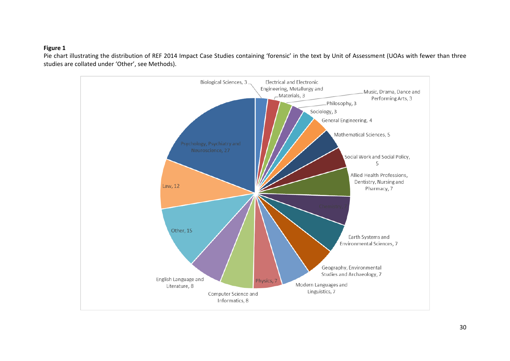# **Figure 1**

Pie chart illustrating the distribution of REF 2014 Impact Case Studies containing 'forensic' in the text by Unit of Assessment (UOAs with fewer than three studies are collated under 'Other', see Methods).

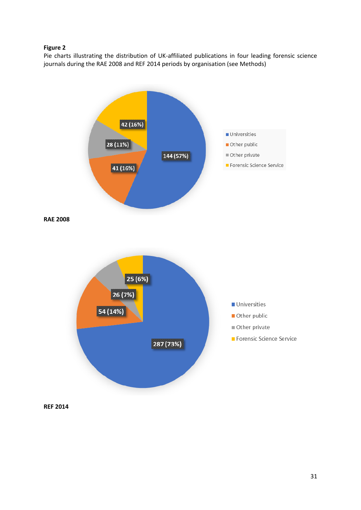# **Figure 2**

Pie charts illustrating the distribution of UK-affiliated publications in four leading forensic science journals during the RAE 2008 and REF 2014 periods by organisation (see Methods)



**REF 2014**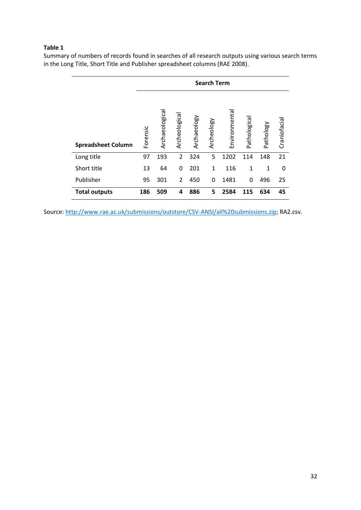|                           |          | <b>Search Term</b> |              |             |              |              |             |              |              |
|---------------------------|----------|--------------------|--------------|-------------|--------------|--------------|-------------|--------------|--------------|
| <b>Spreadsheet Column</b> | Forensic | Archaeologica      | Archeologica | Archaeology | Archeology   | Environmenta | Pathologica | Pathology    | Craniofacial |
| Long title                | 97       | 193                | 2            | 324         | 5            | 1202         | 114         | 148          | 21           |
| Short title               | 13       | 64                 | 0            | 201         | $\mathbf{1}$ | 116          | 1           | $\mathbf{1}$ | 0            |
| Publisher                 | 95       | 301                | 2            | 450         | 0            | 1481         | 0           | 496          | 25           |
| <b>Total outputs</b>      | 186      | 509                | 4            | 886         | 5            | 2584         | 115         | 634          | 45           |

Summary of numbers of records found in searches of all research outputs using various search terms in the Long Title, Short Title and Publisher spreadsheet columns (RAE 2008).

Source: [http://www.rae.ac.uk/submissions/outstore/CSV-ANSI/all%20submissions.zip;](http://www.rae.ac.uk/submissions/outstore/CSV-ANSI/all%20submissions.zip) RA2.csv.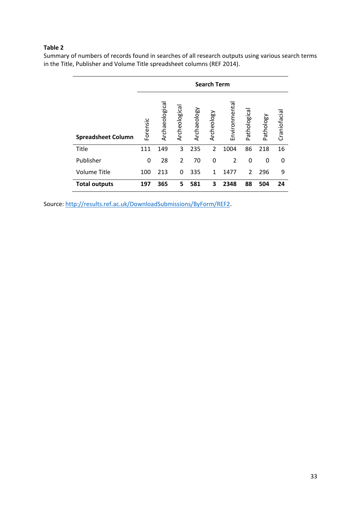|                           |          | <b>Search Term</b> |              |             |            |              |                |           |             |
|---------------------------|----------|--------------------|--------------|-------------|------------|--------------|----------------|-----------|-------------|
| <b>Spreadsheet Column</b> | Forensic | Archaeologica      | Archeologica | Archaeology | Archeology | Environmenta | Pathologica    | Pathology | Craniofacia |
| <b>Title</b>              | 111      | 149                | 3            | 235         | 2          | 1004         | 86             | 218       | 16          |
| Publisher                 | 0        | 28                 | 2            | 70          | 0          | 2            | 0              | 0         | 0           |
| <b>Volume Title</b>       | 100      | 213                | 0            | 335         | 1          | 1477         | $\overline{2}$ | 296       | 9           |
| <b>Total outputs</b>      | 197      | 365                | 5            | 581         | 3          | 2348         | 88             | 504       | 24          |

Summary of numbers of records found in searches of all research outputs using various search terms in the Title, Publisher and Volume Title spreadsheet columns (REF 2014).

Source: [http://results.ref.ac.uk/DownloadSubmissions/ByForm/REF2.](http://results.ref.ac.uk/DownloadSubmissions/ByForm/REF2)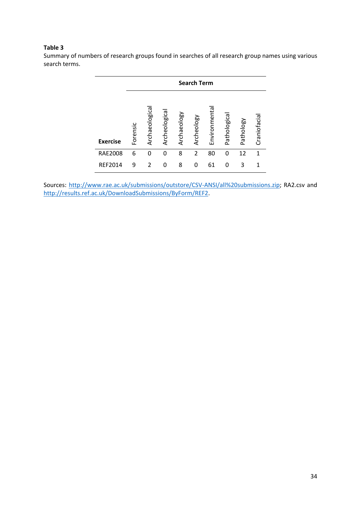Summary of numbers of research groups found in searches of all research group names using various search terms.

|                 | <b>Search Term</b> |               |              |             |            |              |             |           |             |
|-----------------|--------------------|---------------|--------------|-------------|------------|--------------|-------------|-----------|-------------|
| <b>Exercise</b> | Forensic           | Archaeologica | Archeologica | Archaeology | Archeology | Environmenta | Pathologica | Pathology | Craniofacia |
| <b>RAE2008</b>  | 6                  | O             | U            | 8           | 2          | 80           | O           | 12        | 1           |
| <b>REF2014</b>  | 9                  | 2             | 0            | 8           | 0          | 61           | 0           | 3         | 1           |

Sources: [http://www.rae.ac.uk/submissions/outstore/CSV-ANSI/all%20submissions.zip;](http://www.rae.ac.uk/submissions/outstore/CSV-ANSI/all%20submissions.zip) RA2.csv and [http://results.ref.ac.uk/DownloadSubmissions/ByForm/REF2.](http://results.ref.ac.uk/DownloadSubmissions/ByForm/REF2)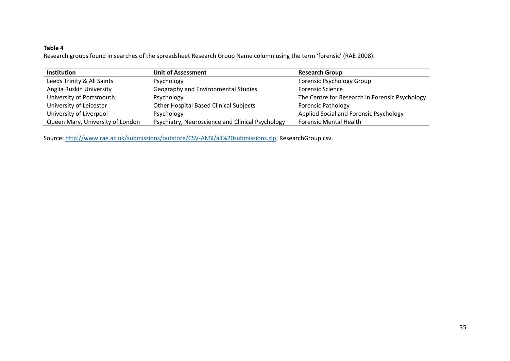Research groups found in searches of the spreadsheet Research Group Name column using the term 'forensic' (RAE 2008).

| <b>Institution</b>               | <b>Unit of Assessment</b>                        | <b>Research Group</b>                          |
|----------------------------------|--------------------------------------------------|------------------------------------------------|
| Leeds Trinity & All Saints       | Psychology                                       | Forensic Psychology Group                      |
| Anglia Ruskin University         | Geography and Environmental Studies              | <b>Forensic Science</b>                        |
| University of Portsmouth         | Psychology                                       | The Centre for Research in Forensic Psychology |
| University of Leicester          | <b>Other Hospital Based Clinical Subjects</b>    | <b>Forensic Pathology</b>                      |
| University of Liverpool          | Psychology                                       | Applied Social and Forensic Psychology         |
| Queen Mary, University of London | Psychiatry, Neuroscience and Clinical Psychology | <b>Forensic Mental Health</b>                  |

Source: [http://www.rae.ac.uk/submissions/outstore/CSV-ANSI/all%20submissions.zip;](http://www.rae.ac.uk/submissions/outstore/CSV-ANSI/all%20submissions.zip) ResearchGroup.csv.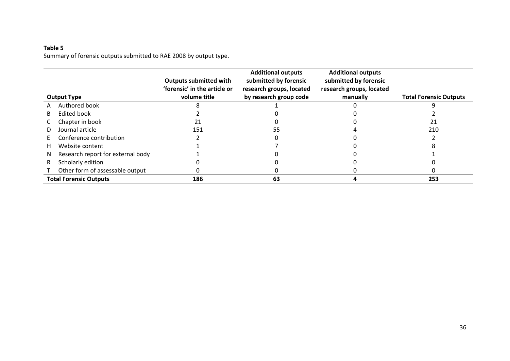Summary of forensic outputs submitted to RAE 2008 by output type.

|    |                                   | <b>Outputs submitted with</b><br>'forensic' in the article or | <b>Additional outputs</b><br>submitted by forensic<br>research groups, located | <b>Additional outputs</b><br>submitted by forensic<br>research groups, located |                               |
|----|-----------------------------------|---------------------------------------------------------------|--------------------------------------------------------------------------------|--------------------------------------------------------------------------------|-------------------------------|
|    | <b>Output Type</b>                | volume title                                                  | by research group code                                                         | manually                                                                       | <b>Total Forensic Outputs</b> |
| A  | Authored book                     |                                                               |                                                                                |                                                                                |                               |
| B. | Edited book                       |                                                               |                                                                                |                                                                                |                               |
|    | Chapter in book                   |                                                               |                                                                                |                                                                                |                               |
| D. | Journal article                   | 151                                                           | 55                                                                             |                                                                                | 210                           |
|    | Conference contribution           |                                                               |                                                                                |                                                                                |                               |
| H  | Website content                   |                                                               |                                                                                |                                                                                |                               |
| N. | Research report for external body |                                                               |                                                                                |                                                                                |                               |
| R. | Scholarly edition                 |                                                               |                                                                                |                                                                                |                               |
|    | Other form of assessable output   |                                                               |                                                                                |                                                                                |                               |
|    | <b>Total Forensic Outputs</b>     | 186                                                           | 63                                                                             |                                                                                | 253                           |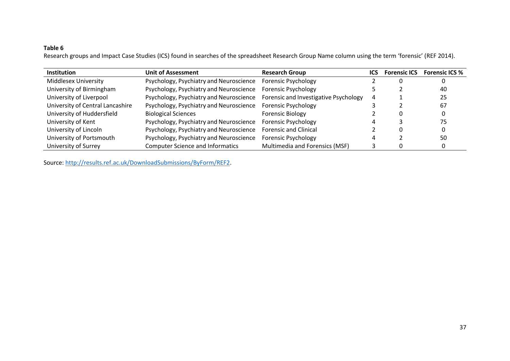Research groups and Impact Case Studies (ICS) found in searches of the spreadsheet Research Group Name column using the term 'forensic' (REF 2014).

| <b>Institution</b>               | <b>Unit of Assessment</b>               | <b>Research Group</b>                 | ICS. | <b>Forensic ICS</b> | <b>Forensic ICS %</b> |
|----------------------------------|-----------------------------------------|---------------------------------------|------|---------------------|-----------------------|
| <b>Middlesex University</b>      | Psychology, Psychiatry and Neuroscience | <b>Forensic Psychology</b>            |      |                     |                       |
| University of Birmingham         | Psychology, Psychiatry and Neuroscience | <b>Forensic Psychology</b>            |      |                     | 40                    |
| University of Liverpool          | Psychology, Psychiatry and Neuroscience | Forensic and Investigative Psychology | 4    |                     | 25                    |
| University of Central Lancashire | Psychology, Psychiatry and Neuroscience | <b>Forensic Psychology</b>            |      |                     | 67                    |
| University of Huddersfield       | <b>Biological Sciences</b>              | <b>Forensic Biology</b>               |      |                     |                       |
| University of Kent               | Psychology, Psychiatry and Neuroscience | <b>Forensic Psychology</b>            |      |                     | 75                    |
| University of Lincoln            | Psychology, Psychiatry and Neuroscience | <b>Forensic and Clinical</b>          |      |                     |                       |
| University of Portsmouth         | Psychology, Psychiatry and Neuroscience | <b>Forensic Psychology</b>            |      |                     | 50                    |
| University of Surrey             | <b>Computer Science and Informatics</b> | Multimedia and Forensics (MSF)        |      |                     |                       |

Source: [http://results.ref.ac.uk/DownloadSubmissions/ByForm/REF2.](http://results.ref.ac.uk/DownloadSubmissions/ByForm/REF2)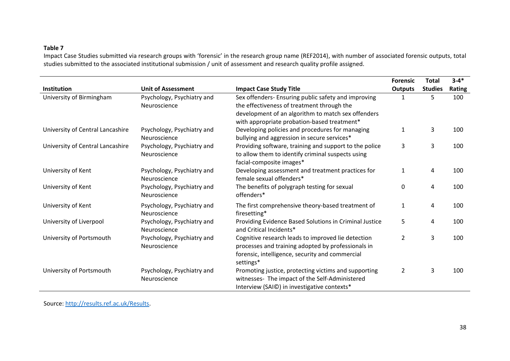Impact Case Studies submitted via research groups with 'forensic' in the research group name (REF2014), with number of associated forensic outputs, total studies submitted to the associated institutional submission / unit of assessment and research quality profile assigned.

|                                  |                                            |                                                                                                                                                                                                        | <b>Forensic</b> | <b>Total</b>   | $3 - 4*$ |
|----------------------------------|--------------------------------------------|--------------------------------------------------------------------------------------------------------------------------------------------------------------------------------------------------------|-----------------|----------------|----------|
| Institution                      | <b>Unit of Assessment</b>                  | <b>Impact Case Study Title</b>                                                                                                                                                                         | <b>Outputs</b>  | <b>Studies</b> | Rating   |
| University of Birmingham         | Psychology, Psychiatry and<br>Neuroscience | Sex offenders- Ensuring public safety and improving<br>the effectiveness of treatment through the<br>development of an algorithm to match sex offenders<br>with appropriate probation-based treatment* |                 | 5              | 100      |
| University of Central Lancashire | Psychology, Psychiatry and<br>Neuroscience | Developing policies and procedures for managing<br>bullying and aggression in secure services*                                                                                                         | $\mathbf{1}$    | 3              | 100      |
| University of Central Lancashire | Psychology, Psychiatry and<br>Neuroscience | Providing software, training and support to the police<br>to allow them to identify criminal suspects using<br>facial-composite images*                                                                | 3               | 3              | 100      |
| University of Kent               | Psychology, Psychiatry and<br>Neuroscience | Developing assessment and treatment practices for<br>female sexual offenders*                                                                                                                          | $\mathbf{1}$    | 4              | 100      |
| University of Kent               | Psychology, Psychiatry and<br>Neuroscience | The benefits of polygraph testing for sexual<br>offenders*                                                                                                                                             | 0               | 4              | 100      |
| University of Kent               | Psychology, Psychiatry and<br>Neuroscience | The first comprehensive theory-based treatment of<br>firesetting*                                                                                                                                      | $\mathbf{1}$    | 4              | 100      |
| University of Liverpool          | Psychology, Psychiatry and<br>Neuroscience | Providing Evidence Based Solutions in Criminal Justice<br>and Critical Incidents*                                                                                                                      | 5               | 4              | 100      |
| University of Portsmouth         | Psychology, Psychiatry and<br>Neuroscience | Cognitive research leads to improved lie detection<br>processes and training adopted by professionals in<br>forensic, intelligence, security and commercial<br>settings*                               | $\overline{2}$  | 3              | 100      |
| University of Portsmouth         | Psychology, Psychiatry and<br>Neuroscience | Promoting justice, protecting victims and supporting<br>witnesses- The impact of the Self-Administered<br>Interview (SAIC) in investigative contexts*                                                  | $\overline{2}$  | 3              | 100      |

Source: [http://results.ref.ac.uk/Results.](http://results.ref.ac.uk/Results)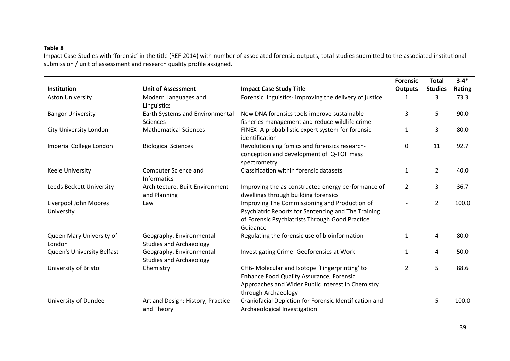Impact Case Studies with 'forensic' in the title (REF 2014) with number of associated forensic outputs, total studies submitted to the associated institutional submission / unit of assessment and research quality profile assigned.

|                                     |                                                            |                                                                                                                                                                        | <b>Forensic</b> | <b>Total</b>   | $3 - 4*$      |
|-------------------------------------|------------------------------------------------------------|------------------------------------------------------------------------------------------------------------------------------------------------------------------------|-----------------|----------------|---------------|
| Institution                         | <b>Unit of Assessment</b>                                  | <b>Impact Case Study Title</b>                                                                                                                                         | <b>Outputs</b>  | <b>Studies</b> | <b>Rating</b> |
| <b>Aston University</b>             | Modern Languages and<br>Linguistics                        | Forensic linguistics-improving the delivery of justice                                                                                                                 | 1               | 3              | 73.3          |
| <b>Bangor University</b>            | Earth Systems and Environmental<br><b>Sciences</b>         | New DNA forensics tools improve sustainable<br>fisheries management and reduce wildlife crime                                                                          | 3               | 5              | 90.0          |
| <b>City University London</b>       | <b>Mathematical Sciences</b>                               | FINEX- A probabilistic expert system for forensic<br>identification                                                                                                    | 1               | 3              | 80.0          |
| Imperial College London             | <b>Biological Sciences</b>                                 | Revolutionising 'omics and forensics research-<br>conception and development of Q-TOF mass<br>spectrometry                                                             | $\mathbf 0$     | 11             | 92.7          |
| <b>Keele University</b>             | Computer Science and<br><b>Informatics</b>                 | Classification within forensic datasets                                                                                                                                | 1               | $\overline{2}$ | 40.0          |
| Leeds Beckett University            | Architecture, Built Environment<br>and Planning            | Improving the as-constructed energy performance of<br>dwellings through building forensics                                                                             | $\overline{2}$  | 3              | 36.7          |
| Liverpool John Moores<br>University | Law                                                        | Improving The Commissioning and Production of<br>Psychiatric Reports for Sentencing and The Training<br>of Forensic Psychiatrists Through Good Practice<br>Guidance    |                 | $\overline{2}$ | 100.0         |
| Queen Mary University of<br>London  | Geography, Environmental<br><b>Studies and Archaeology</b> | Regulating the forensic use of bioinformation                                                                                                                          | $\mathbf{1}$    | 4              | 80.0          |
| <b>Queen's University Belfast</b>   | Geography, Environmental<br><b>Studies and Archaeology</b> | Investigating Crime- Geoforensics at Work                                                                                                                              | $\mathbf{1}$    | 4              | 50.0          |
| University of Bristol               | Chemistry                                                  | CH6- Molecular and Isotope 'Fingerprinting' to<br>Enhance Food Quality Assurance, Forensic<br>Approaches and Wider Public Interest in Chemistry<br>through Archaeology | $\overline{2}$  | 5              | 88.6          |
| University of Dundee                | Art and Design: History, Practice<br>and Theory            | Craniofacial Depiction for Forensic Identification and<br>Archaeological Investigation                                                                                 |                 | 5              | 100.0         |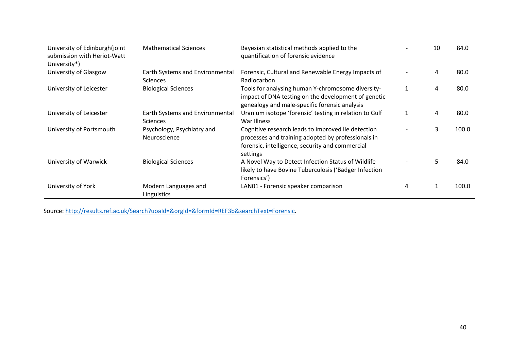| University of Edinburgh(joint<br>submission with Heriot-Watt<br>University*) | <b>Mathematical Sciences</b>                       | Bayesian statistical methods applied to the<br>quantification of forensic evidence                                                                                      |              | 10           | 84.0  |
|------------------------------------------------------------------------------|----------------------------------------------------|-------------------------------------------------------------------------------------------------------------------------------------------------------------------------|--------------|--------------|-------|
| University of Glasgow                                                        | Earth Systems and Environmental<br><b>Sciences</b> | Forensic, Cultural and Renewable Energy Impacts of<br>Radiocarbon                                                                                                       |              | 4            | 80.0  |
| University of Leicester                                                      | <b>Biological Sciences</b>                         | Tools for analysing human Y-chromosome diversity-<br>impact of DNA testing on the development of genetic<br>genealogy and male-specific forensic analysis               | $\mathbf{1}$ | 4            | 80.0  |
| University of Leicester                                                      | Earth Systems and Environmental<br><b>Sciences</b> | Uranium isotope 'forensic' testing in relation to Gulf<br>War Illness                                                                                                   | 1            | 4            | 80.0  |
| University of Portsmouth                                                     | Psychology, Psychiatry and<br>Neuroscience         | Cognitive research leads to improved lie detection<br>processes and training adopted by professionals in<br>forensic, intelligence, security and commercial<br>settings |              | 3            | 100.0 |
| University of Warwick                                                        | <b>Biological Sciences</b>                         | A Novel Way to Detect Infection Status of Wildlife<br>likely to have Bovine Tuberculosis ('Badger Infection<br>Forensics')                                              |              | 5.           | 84.0  |
| University of York                                                           | Modern Languages and<br>Linguistics                | LAN01 - Forensic speaker comparison                                                                                                                                     | 4            | $\mathbf{1}$ | 100.0 |

Source: [http://results.ref.ac.uk/Search?uoaId=&orgId=&formId=REF3b&searchText=Forensic.](http://results.ref.ac.uk/Search?uoaId=&orgId=&formId=REF3b&searchText=Forensic)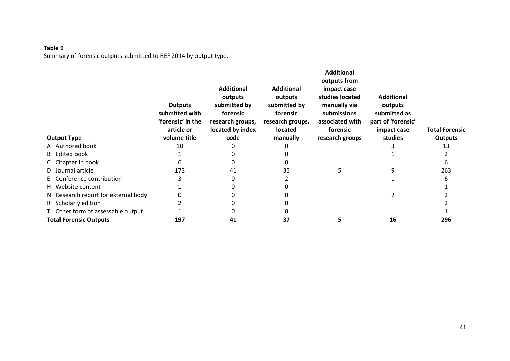# **Table 9** Summary of forensic outputs submitted to REF 2014 by output type.

|                                     | <b>Outputs</b><br>submitted with<br>'forensic' in the<br>article or | <b>Additional</b><br>outputs<br>submitted by<br>forensic<br>research groups,<br>located by index | <b>Additional</b><br>outputs<br>submitted by<br>forensic<br>research groups,<br><b>located</b> | <b>Additional</b><br>outputs from<br>impact case<br>studies located<br>manually via<br>submissions<br>associated with<br>forensic | <b>Additional</b><br>outputs<br>submitted as<br>part of 'forensic'<br>impact case | <b>Total Forensic</b> |
|-------------------------------------|---------------------------------------------------------------------|--------------------------------------------------------------------------------------------------|------------------------------------------------------------------------------------------------|-----------------------------------------------------------------------------------------------------------------------------------|-----------------------------------------------------------------------------------|-----------------------|
| <b>Output Type</b>                  | volume title                                                        | code                                                                                             | manually                                                                                       | research groups                                                                                                                   | studies                                                                           | <b>Outputs</b>        |
| A Authored book                     | 10                                                                  |                                                                                                  |                                                                                                |                                                                                                                                   |                                                                                   | 13                    |
| <b>B</b> Edited book                |                                                                     |                                                                                                  |                                                                                                |                                                                                                                                   |                                                                                   |                       |
| C Chapter in book                   |                                                                     |                                                                                                  |                                                                                                |                                                                                                                                   |                                                                                   |                       |
| D Journal article                   | 173                                                                 | 41                                                                                               | 35                                                                                             | 5                                                                                                                                 | q                                                                                 | 263                   |
| E Conference contribution           |                                                                     |                                                                                                  |                                                                                                |                                                                                                                                   |                                                                                   |                       |
| H Website content                   |                                                                     |                                                                                                  |                                                                                                |                                                                                                                                   |                                                                                   |                       |
| N Research report for external body |                                                                     |                                                                                                  |                                                                                                |                                                                                                                                   |                                                                                   |                       |
| R Scholarly edition                 |                                                                     |                                                                                                  |                                                                                                |                                                                                                                                   |                                                                                   |                       |
| T Other form of assessable output   |                                                                     |                                                                                                  |                                                                                                |                                                                                                                                   |                                                                                   |                       |
| <b>Total Forensic Outputs</b>       | 197                                                                 | 41                                                                                               | 37                                                                                             |                                                                                                                                   | 16                                                                                | 296                   |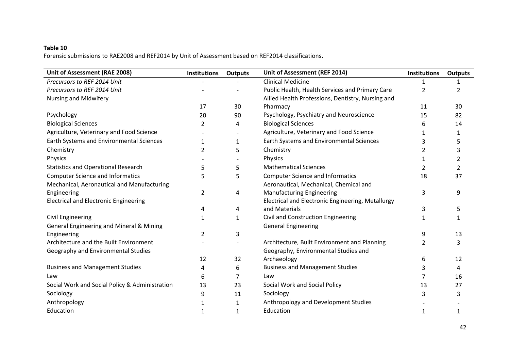Forensic submissions to RAE2008 and REF2014 by Unit of Assessment based on REF2014 classifications.

| Unit of Assessment (RAE 2008)                  | <b>Institutions</b> | <b>Outputs</b> | Unit of Assessment (REF 2014)                     | <b>Institutions</b> | <b>Outputs</b> |
|------------------------------------------------|---------------------|----------------|---------------------------------------------------|---------------------|----------------|
| Precursors to REF 2014 Unit                    |                     |                | <b>Clinical Medicine</b>                          |                     |                |
| Precursors to REF 2014 Unit                    |                     |                | Public Health, Health Services and Primary Care   | 2                   | 2              |
| <b>Nursing and Midwifery</b>                   |                     |                | Allied Health Professions, Dentistry, Nursing and |                     |                |
|                                                | 17                  | 30             | Pharmacy                                          | 11                  | 30             |
| Psychology                                     | 20                  | 90             | Psychology, Psychiatry and Neuroscience           | 15                  | 82             |
| <b>Biological Sciences</b>                     | 2                   | 4              | <b>Biological Sciences</b>                        | 6                   | 14             |
| Agriculture, Veterinary and Food Science       |                     |                | Agriculture, Veterinary and Food Science          | 1                   |                |
| Earth Systems and Environmental Sciences       | 1                   | 1              | Earth Systems and Environmental Sciences          | 3                   | 5              |
| Chemistry                                      | $\overline{2}$      | 5              | Chemistry                                         | 2                   | 3              |
| Physics                                        |                     |                | Physics                                           |                     | 2              |
| <b>Statistics and Operational Research</b>     | 5                   | 5              | <b>Mathematical Sciences</b>                      | 2                   | 2              |
| <b>Computer Science and Informatics</b>        | 5                   | 5              | <b>Computer Science and Informatics</b>           | 18                  | 37             |
| Mechanical, Aeronautical and Manufacturing     |                     |                | Aeronautical, Mechanical, Chemical and            |                     |                |
| Engineering                                    | $\overline{2}$      | 4              | <b>Manufacturing Engineering</b>                  | 3                   | 9              |
| <b>Electrical and Electronic Engineering</b>   |                     |                | Electrical and Electronic Engineering, Metallurgy |                     |                |
|                                                | 4                   | 4              | and Materials                                     | 3                   |                |
| <b>Civil Engineering</b>                       | 1                   | 1              | Civil and Construction Engineering                |                     |                |
| General Engineering and Mineral & Mining       |                     |                | <b>General Engineering</b>                        |                     |                |
| Engineering                                    | 2                   | 3              |                                                   | 9                   | 13             |
| Architecture and the Built Environment         |                     |                | Architecture, Built Environment and Planning      | 2                   | 3              |
| Geography and Environmental Studies            |                     |                | Geography, Environmental Studies and              |                     |                |
|                                                | 12                  | 32             | Archaeology                                       | 6                   | 12             |
| <b>Business and Management Studies</b>         | 4                   | 6              | <b>Business and Management Studies</b>            |                     | 4              |
| Law                                            | 6                   | 7              | Law                                               |                     | 16             |
| Social Work and Social Policy & Administration | 13                  | 23             | Social Work and Social Policy                     | 13                  | 27             |
| Sociology                                      | 9                   | 11             | Sociology                                         | 3                   | 3              |
| Anthropology                                   |                     | 1              | Anthropology and Development Studies              |                     |                |
| Education                                      |                     | 1              | Education                                         | 1                   | 1              |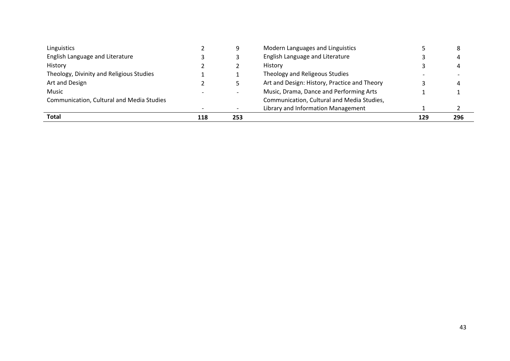| Linguistics                               |     |     | Modern Languages and Linguistics             |     | 8   |
|-------------------------------------------|-----|-----|----------------------------------------------|-----|-----|
| English Language and Literature           |     |     | English Language and Literature              |     |     |
| History                                   |     |     | History                                      |     |     |
| Theology, Divinity and Religious Studies  |     |     | Theology and Religeous Studies               |     |     |
| Art and Design                            |     |     | Art and Design: History, Practice and Theory |     |     |
| Music                                     |     |     | Music, Drama, Dance and Performing Arts      |     |     |
| Communication, Cultural and Media Studies |     |     | Communication, Cultural and Media Studies,   |     |     |
|                                           |     |     | Library and Information Management           |     |     |
| Total                                     | 118 | 253 |                                              | 129 | 296 |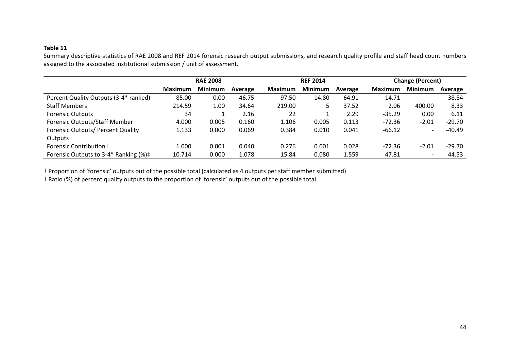Summary descriptive statistics of RAE 2008 and REF 2014 forensic research output submissions, and research quality profile and staff head count numbers assigned to the associated institutional submission / unit of assessment.

|                                       | <b>RAE 2008</b> |                |         |                | <b>REF 2014</b> |         |                | <b>Change (Percent)</b>  |          |  |  |
|---------------------------------------|-----------------|----------------|---------|----------------|-----------------|---------|----------------|--------------------------|----------|--|--|
|                                       | <b>Maximum</b>  | <b>Minimum</b> | Average | <b>Maximum</b> | <b>Minimum</b>  | Average | <b>Maximum</b> | <b>Minimum</b>           | Average  |  |  |
| Percent Quality Outputs (3-4* ranked) | 85.00           | 0.00           | 46.75   | 97.50          | 14.80           | 64.91   | 14.71          | $\overline{\phantom{a}}$ | 38.84    |  |  |
| <b>Staff Members</b>                  | 214.59          | 1.00           | 34.64   | 219.00         |                 | 37.52   | 2.06           | 400.00                   | 8.33     |  |  |
| <b>Forensic Outputs</b>               | 34              |                | 2.16    | 22             |                 | 2.29    | $-35.29$       | 0.00                     | 6.11     |  |  |
| <b>Forensic Outputs/Staff Member</b>  | 4.000           | 0.005          | 0.160   | 1.106          | 0.005           | 0.113   | $-72.36$       | $-2.01$                  | $-29.70$ |  |  |
| Forensic Outputs/ Percent Quality     | 1.133           | 0.000          | 0.069   | 0.384          | 0.010           | 0.041   | $-66.12$       | $\overline{\phantom{0}}$ | $-40.49$ |  |  |
| Outputs                               |                 |                |         |                |                 |         |                |                          |          |  |  |
| Forensic Contribution <sup>+</sup>    | 1.000           | 0.001          | 0.040   | 0.276          | 0.001           | 0.028   | $-72.36$       | $-2.01$                  | $-29.70$ |  |  |
| Forensic Outputs to 3-4* Ranking (%)# | 10.714          | 0.000          | 1.078   | 15.84          | 0.080           | 1.559   | 47.81          | $\overline{\phantom{0}}$ | 44.53    |  |  |

† Proportion of 'forensic' outputs out of the possible total (calculated as 4 outputs per staff member submitted)

‡ Ratio (%) of percent quality outputs to the proportion of 'forensic' outputs out of the possible total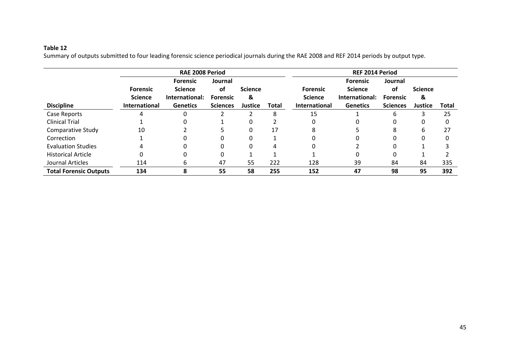Summary of outputs submitted to four leading forensic science periodical journals during the RAE 2008 and REF 2014 periods by output type.

|                               |                 | RAE 2008 Period |                 |                |              |                      | REF 2014 Period |                 |                |              |
|-------------------------------|-----------------|-----------------|-----------------|----------------|--------------|----------------------|-----------------|-----------------|----------------|--------------|
|                               |                 | <b>Forensic</b> | Journal         |                |              |                      | <b>Forensic</b> | Journal         |                |              |
|                               | <b>Forensic</b> | <b>Science</b>  | <b>of</b>       | <b>Science</b> |              | <b>Forensic</b>      | <b>Science</b>  | <b>of</b>       | <b>Science</b> |              |
|                               | <b>Science</b>  | International:  | <b>Forensic</b> | &              |              | <b>Science</b>       | International:  | <b>Forensic</b> | &              |              |
| <b>Discipline</b>             | International   | <b>Genetics</b> | <b>Sciences</b> | <b>Justice</b> | <b>Total</b> | <b>International</b> | <b>Genetics</b> | <b>Sciences</b> | <b>Justice</b> | <b>Total</b> |
| Case Reports                  | 4               |                 | 2               | ົ              | 8            | 15                   |                 | 6               | 3              | 25           |
| <b>Clinical Trial</b>         |                 |                 |                 | 0              |              |                      |                 | 0               | 0              |              |
| Comparative Study             | 10              |                 | 5               | 0              | 17           | 8                    |                 | 8               | 6              | 27           |
| Correction                    |                 |                 | 0               |                |              |                      |                 |                 |                |              |
| <b>Evaluation Studies</b>     | 4               |                 | 0               | $\Omega$       | 4            |                      |                 | $\Omega$        |                |              |
| <b>Historical Article</b>     | 0               |                 | 0               |                |              |                      |                 | 0               |                |              |
| Journal Articles              | 114             | 6               | 47              | 55             | 222          | 128                  | 39              | 84              | 84             | 335          |
| <b>Total Forensic Outputs</b> | 134             | 8               | 55              | 58             | 255          | 152                  | 47              | 98              | 95             | 392          |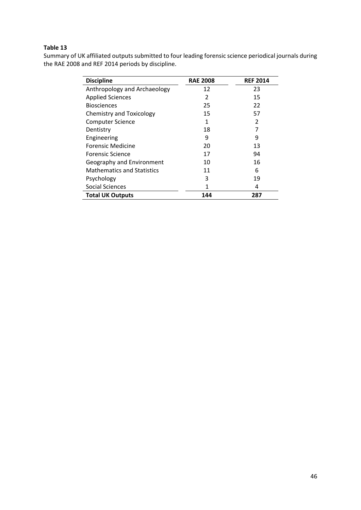Summary of UK affiliated outputs submitted to four leading forensic science periodical journals during the RAE 2008 and REF 2014 periods by discipline.

| <b>Discipline</b>                 | <b>RAE 2008</b> | <b>REF 2014</b> |
|-----------------------------------|-----------------|-----------------|
| Anthropology and Archaeology      | 12              | 23              |
| <b>Applied Sciences</b>           | $\overline{2}$  | 15              |
| <b>Biosciences</b>                | 25              | 22              |
| <b>Chemistry and Toxicology</b>   | 15              | 57              |
| <b>Computer Science</b>           | 1               | 2               |
| Dentistry                         | 18              |                 |
| Engineering                       | 9               | 9               |
| Forensic Medicine                 | 20              | 13              |
| Forensic Science                  | 17              | 94              |
| Geography and Environment         | 10              | 16              |
| <b>Mathematics and Statistics</b> | 11              | 6               |
| Psychology                        | 3               | 19              |
| <b>Social Sciences</b>            | 1               | 4               |
| <b>Total UK Outputs</b>           | 144             | 287             |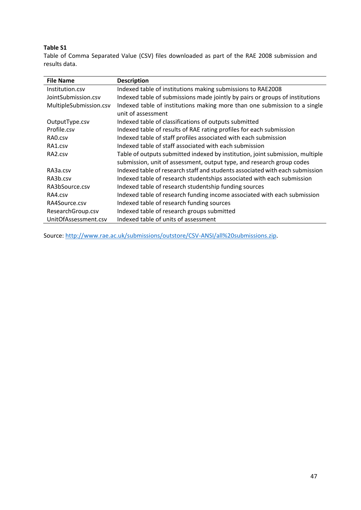# **Table S1**

Table of Comma Separated Value (CSV) files downloaded as part of the RAE 2008 submission and results data.

| <b>File Name</b>       | <b>Description</b>                                                                              |
|------------------------|-------------------------------------------------------------------------------------------------|
| Institution.csv        | Indexed table of institutions making submissions to RAE2008                                     |
| JointSubmission.csv    | Indexed table of submissions made jointly by pairs or groups of institutions                    |
| MultipleSubmission.csv | Indexed table of institutions making more than one submission to a single<br>unit of assessment |
| OutputType.csv         | Indexed table of classifications of outputs submitted                                           |
| Profile.csv            | Indexed table of results of RAE rating profiles for each submission                             |
| RAO.csv                | Indexed table of staff profiles associated with each submission                                 |
| RA1.csv                | Indexed table of staff associated with each submission                                          |
| RA2.csv                | Table of outputs submitted indexed by institution, joint submission, multiple                   |
|                        | submission, unit of assessment, output type, and research group codes                           |
| RA3a.csv               | Indexed table of research staff and students associated with each submission                    |
| RA3b.csv               | Indexed table of research studentships associated with each submission                          |
| RA3bSource.csv         | Indexed table of research studentship funding sources                                           |
| RA4.csv                | Indexed table of research funding income associated with each submission                        |
| RA4Source.csv          | Indexed table of research funding sources                                                       |
| ResearchGroup.csv      | Indexed table of research groups submitted                                                      |
| UnitOfAssessment.csv   | Indexed table of units of assessment                                                            |

Source: [http://www.rae.ac.uk/submissions/outstore/CSV-ANSI/all%20submissions.zip.](http://www.rae.ac.uk/submissions/outstore/CSV-ANSI/all%20submissions.zip)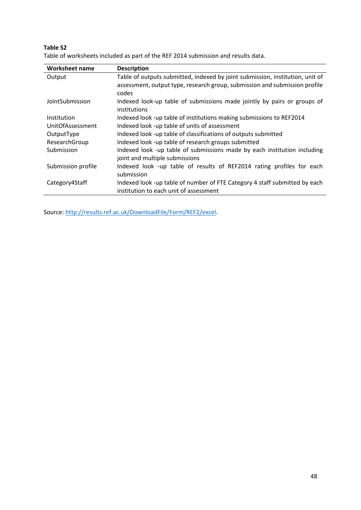# **Table S2**

| <b>Description</b>                                                            |
|-------------------------------------------------------------------------------|
| Table of outputs submitted, indexed by joint submission, institution, unit of |
| assessment, output type, research group, submission and submission profile    |
| codes                                                                         |
| Indexed look-up table of submissions made jointly by pairs or groups of       |
| institutions                                                                  |
| Indexed look -up table of institutions making submissions to REF2014          |
| Indexed look -up table of units of assessment                                 |
| Indexed look -up table of classifications of outputs submitted                |
| Indexed look -up table of research groups submitted                           |
| Indexed look -up table of submissions made by each institution including      |
| joint and multiple submissions                                                |
| Indexed look -up table of results of REF2014 rating profiles for each         |
| submission                                                                    |
| Indexed look -up table of number of FTE Category 4 staff submitted by each    |
| institution to each unit of assessment                                        |
|                                                                               |

Table of worksheets included as part of the REF 2014 submission and results data.

Source: [http://results.ref.ac.uk/DownloadFile/Form/REF2/excel.](http://results.ref.ac.uk/DownloadFile/Form/REF2/excel)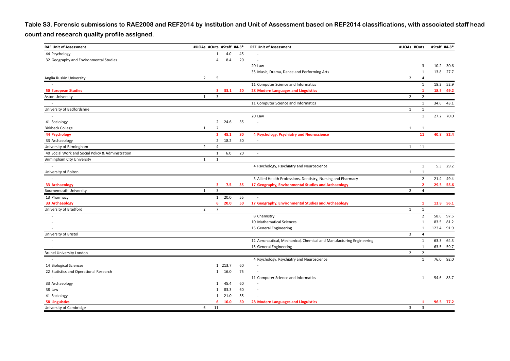**Table S3. Forensic submissions to RAE2008 and REF2014 by Institution and Unit of Assessment based on REF2014 classifications, with associated staff head count and research quality profile assigned.**

| <b>RAE Unit of Assessment</b>                     |                |                | #UOAs #Outs #Staff #4-3* |    | <b>REF Unit of Assessment</b>                                       |                | #UOAs #Outs    |               |  |
|---------------------------------------------------|----------------|----------------|--------------------------|----|---------------------------------------------------------------------|----------------|----------------|---------------|--|
| 44 Psychology                                     |                | 1              | 4.0                      | 45 |                                                                     |                |                |               |  |
| 32 Geography and Environmental Studies            |                | 4              | 8.4                      | 20 | $\sim$                                                              |                |                |               |  |
|                                                   |                |                |                          |    | 20 Law                                                              |                | 3              | 10.2 30.6     |  |
|                                                   |                |                |                          |    | 35 Music, Drama, Dance and Performing Arts                          |                | $\mathbf{1}$   | 13.8 27.7     |  |
| Anglia Ruskin University                          | $\overline{2}$ | 5              |                          |    |                                                                     | $\overline{2}$ | $\overline{4}$ |               |  |
|                                                   |                |                |                          |    | 11 Computer Science and Informatics                                 |                | $\mathbf{1}$   | 52.9<br>18.2  |  |
| <b>50 European Studies</b>                        |                |                | 3, 33.1                  | 20 | 28 Modern Languages and Linguistics                                 |                | 1              | 18.5<br>49.2  |  |
| <b>Aston University</b>                           | 1              | 3              |                          |    |                                                                     | $\overline{2}$ | $\overline{2}$ |               |  |
| $\sim$                                            |                |                |                          |    | 11 Computer Science and Informatics                                 |                | $\mathbf{1}$   | 34.6 43.1     |  |
| University of Bedfordshire                        |                |                |                          |    |                                                                     | $\mathbf{1}$   | $\mathbf{1}$   |               |  |
|                                                   |                |                |                          |    | 20 Law                                                              |                | $\mathbf{1}$   | 27.2 70.0     |  |
| 41 Sociology                                      |                |                | 2 24.6                   | 35 |                                                                     |                |                |               |  |
| <b>Birkbeck College</b>                           | $\mathbf{1}$   | $\overline{2}$ |                          |    |                                                                     | $\mathbf{1}$   | $\mathbf{1}$   |               |  |
| 44 Psychology                                     |                | $\overline{2}$ | 45.1                     | 80 | 4 Psychology, Psychiatry and Neuroscience                           |                | 11             | 40.8 82.4     |  |
| 33 Archaeology                                    |                | $\overline{2}$ | 18.2                     | 50 | $\sim$                                                              |                |                |               |  |
| University of Birmingham                          | $\overline{2}$ | 4              |                          |    |                                                                     | 1              | 11             |               |  |
| 40 Social Work and Social Policy & Administration |                | $\mathbf{1}$   | 6.0                      | 20 |                                                                     |                |                |               |  |
| Birmingham City University                        | $\mathbf{1}$   | $\mathbf 1$    |                          |    |                                                                     |                |                |               |  |
| $\sim$                                            |                |                |                          |    | 4 Psychology, Psychiatry and Neuroscience                           |                | $\mathbf{1}$   | 5.3 29.2      |  |
| University of Bolton                              |                |                |                          |    |                                                                     | $\mathbf{1}$   | $\mathbf{1}$   |               |  |
|                                                   |                |                |                          |    | 3 Allied Health Professions, Dentistry, Nursing and Pharmacy        |                | $\overline{2}$ | 21.4<br>49.4  |  |
| 33 Archaeology                                    |                | 3              | 7.5                      | 35 | 17 Geography, Environmental Studies and Archaeology                 |                | $\overline{2}$ | 29.5<br>55.6  |  |
| <b>Bournemouth University</b>                     | $\mathbf{1}$   | $\overline{3}$ |                          |    |                                                                     | $\overline{2}$ | $\overline{4}$ |               |  |
| 13 Pharmacy                                       |                | $\mathbf{1}$   | 20.0                     | 55 |                                                                     |                |                |               |  |
| 33 Archaeology                                    |                | 6              | 20.0                     | 50 | 17 Geography, Environmental Studies and Archaeology                 |                | $\mathbf{1}$   | 12.8 56.1     |  |
| University of Bradford                            | $\overline{2}$ | $\overline{7}$ |                          |    |                                                                     | $\mathbf{1}$   | $\mathbf{1}$   |               |  |
|                                                   |                |                |                          |    | 8 Chemistry                                                         |                | $\overline{2}$ | 58.6<br>97.5  |  |
|                                                   |                |                |                          |    | 10 Mathematical Sciences                                            |                | $\mathbf{1}$   | 83.5<br>81.2  |  |
|                                                   |                |                |                          |    | 15 General Engineering                                              |                | $\mathbf{1}$   | 123.4<br>91.9 |  |
| University of Bristol                             |                |                |                          |    |                                                                     | 3              | 4              |               |  |
|                                                   |                |                |                          |    | 12 Aeronautical, Mechanical, Chemical and Manufacturing Engineering |                | $\mathbf{1}$   | 63.3<br>64.3  |  |
|                                                   |                |                |                          |    | 15 General Engineering                                              |                | $\mathbf{1}$   | 63.5<br>59.7  |  |
| <b>Brunel University London</b>                   |                |                |                          |    |                                                                     | $\overline{2}$ | $\overline{2}$ |               |  |
|                                                   |                |                |                          |    | 4 Psychology, Psychiatry and Neuroscience                           |                | $\mathbf{1}$   | 76.0 92.0     |  |
| 14 Biological Sciences                            |                |                | 1 213.7                  | 60 | $\sim$                                                              |                |                |               |  |
| 22 Statistics and Operational Research            |                |                | 1 16.0                   | 75 |                                                                     |                |                |               |  |
|                                                   |                |                |                          |    | 11 Computer Science and Informatics                                 |                | $\mathbf{1}$   | 54.6 83.7     |  |
| 33 Archaeology                                    |                | 1              | 45.4                     | 60 |                                                                     |                |                |               |  |
| 38 Law                                            |                | $\mathbf{1}$   | 83.3                     | 60 |                                                                     |                |                |               |  |
| 41 Sociology                                      |                | $\mathbf{1}$   | 21.0                     | 55 |                                                                     |                |                |               |  |
| <b>58 Linguistics</b>                             |                | 6              | 10.0                     | 50 | 28 Modern Languages and Linguistics                                 |                | 1              | 96.5 77.2     |  |
| University of Cambridge                           | 6              | 11             |                          |    |                                                                     | 3              | $\overline{3}$ |               |  |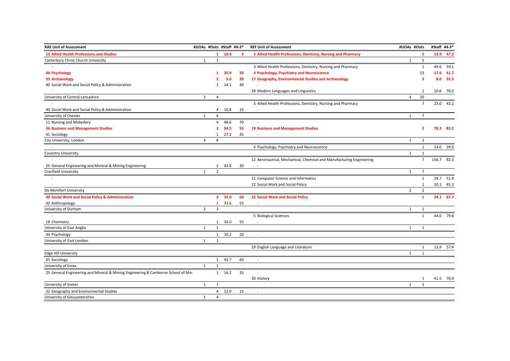| <b>RAE Unit of Assessment</b>                                                    | #UOAs #Outs #Staff #4-3* |                |         |    | <b>REF Unit of Assessment</b>                                       |                | #UOAs #Outs    |            |           |
|----------------------------------------------------------------------------------|--------------------------|----------------|---------|----|---------------------------------------------------------------------|----------------|----------------|------------|-----------|
| <b>12 Allied Health Professions and Studies</b>                                  |                          | $\mathbf{1}$   | 10.6    | 5. | 3 Allied Health Professions, Dentistry, Nursing and Pharmacy        |                | 5              | 13.9       | - 47.2    |
| Canterbury Christ Church University                                              | $\mathbf{1}$             | $\mathbf{1}$   |         |    |                                                                     | 1              | 5              |            |           |
|                                                                                  |                          |                |         |    | 3 Allied Health Professions, Dentistry, Nursing and Pharmacy        |                | $\mathbf{1}$   | 49.6       | 59.1      |
| <b>44 Psychology</b>                                                             |                          | 1              | 30.9    | 20 | 4 Psychology, Psychiatry and Neuroscience                           |                | 15             | 17.6       | 41.7      |
| <b>33 Archaeology</b>                                                            |                          | $\overline{2}$ | 5.0     | 20 | 17 Geography, Environmental Studies and Archaeology                 |                | 3              |            | 8.0 35.5  |
| 40 Social Work and Social Policy & Administration                                |                          | $\mathbf{1}$   | 14.1    | 40 |                                                                     |                |                |            |           |
|                                                                                  |                          |                |         |    | 28 Modern Languages and Linguistics                                 |                | -1             |            | 10.6 70.0 |
| University of Central Lancashire                                                 | $\overline{3}$           | $\overline{4}$ |         |    |                                                                     | $\overline{4}$ | 20             |            |           |
|                                                                                  |                          |                |         |    | 3 Allied Health Professions, Dentistry, Nursing and Pharmacy        |                | $\overline{7}$ |            | 23.0 43.2 |
| 40 Social Work and Social Policy & Administration                                |                          | 4              | 10.8    | 15 | $\sim$                                                              |                |                |            |           |
| University of Chester                                                            | $\mathbf{1}$             | 4              |         |    |                                                                     | $\mathbf{1}$   | $\overline{7}$ |            |           |
| 11 Nursing and Midwifery                                                         |                          | 4              | 48.6    | 70 |                                                                     |                |                |            |           |
| <b>36 Business and Management Studies</b>                                        |                          | з              | 94.5    | 55 | <b>19 Business and Management Studies</b>                           |                | $\overline{2}$ |            | 78.3 82.2 |
| 41 Sociology                                                                     |                          | $\mathbf{1}$   | 27.2    | 45 |                                                                     |                |                |            |           |
| City University, London                                                          | 3                        | 8              |         |    |                                                                     | $\mathbf{1}$   | $\overline{2}$ |            |           |
| $\sim$                                                                           |                          |                |         |    | 4 Psychology, Psychiatry and Neuroscience                           |                | $\mathbf{1}$   |            | 14.0 39.0 |
| <b>Coventry University</b>                                                       |                          |                |         |    |                                                                     | $\mathbf{1}$   | $\mathbf{1}$   |            |           |
|                                                                                  |                          |                |         |    | 12 Aeronautical, Mechanical, Chemical and Manufacturing Engineering |                | $7^{\circ}$    | 156.7 82.3 |           |
| 25 General Engineering and Mineral & Mining Engineering                          |                          | $\overline{2}$ | 42.9    | 30 |                                                                     |                |                |            |           |
| <b>Cranfield University</b>                                                      | 1                        | $\overline{2}$ |         |    |                                                                     | $\mathbf{1}$   | $\overline{7}$ |            |           |
|                                                                                  |                          |                |         |    | 11 Computer Science and Informatics                                 |                | $\mathbf{1}$   |            | 24.7 51.9 |
|                                                                                  |                          |                |         |    | 22 Social Work and Social Policy                                    |                | $\mathbf{1}$   |            | 20.1 45.3 |
| De Montfort University                                                           |                          |                |         |    |                                                                     | $\overline{2}$ | $\overline{2}$ |            |           |
| 40 Social Work and Social Policy & Administration                                |                          |                | 2, 35.0 | 60 | <b>22 Social Work and Social Policy</b>                             |                | $\mathbf{1}$   |            | 24.1 67.7 |
| 42 Anthropology                                                                  |                          | $\mathbf{1}$   | 33.6    | 55 |                                                                     |                |                |            |           |
| University of Durham                                                             | $\overline{2}$           | $\overline{3}$ |         |    |                                                                     | $\mathbf{1}$   | $\mathbf{1}$   |            |           |
|                                                                                  |                          |                |         |    | 5 Biological Sciences                                               |                | $\mathbf{1}$   |            | 44.0 79.8 |
| 18 Chemistry                                                                     |                          | $\mathbf{1}$   | 30.0    | 55 |                                                                     |                |                |            |           |
| University of East Anglia                                                        | $\mathbf{1}$             | $\mathbf{1}$   |         |    |                                                                     | $\mathbf{1}$   | $\mathbf{1}$   |            |           |
| 44 Psychology                                                                    |                          | 1              | 10.2    | 20 |                                                                     |                |                |            |           |
| University of East London                                                        | $\mathbf{1}$             | 1              |         |    |                                                                     |                |                |            |           |
|                                                                                  |                          |                |         |    | 29 English Language and Literature                                  |                | $\mathbf{1}$   | 13.9 57.4  |           |
| <b>Edge Hill University</b>                                                      |                          |                |         |    |                                                                     | 1              | 1              |            |           |
| 41 Sociology                                                                     |                          | $\mathbf{1}$   | 43.7    | 60 | $\sim$                                                              |                |                |            |           |
| University of Essex                                                              | $\mathbf{1}$             | $\mathbf{1}$   |         |    |                                                                     |                |                |            |           |
| 25 General Engineering and Mineral & Mining Engineering B Camborne School of Min |                          | 1              | 16.2    | 35 |                                                                     |                |                |            |           |
|                                                                                  |                          |                |         |    | 30 History                                                          |                | 1              |            | 41.5 76.9 |
| University of Exeter                                                             | $\mathbf{1}$             | $\mathbf{1}$   |         |    |                                                                     | $\mathbf{1}$   | $\mathbf{1}$   |            |           |
| 32 Geography and Environmental Studies                                           |                          | $\overline{4}$ | 12.0    | 15 | $\sim$                                                              |                |                |            |           |
| University of Gloucestershire                                                    | $\mathbf{1}$             | $\overline{4}$ |         |    |                                                                     |                |                |            |           |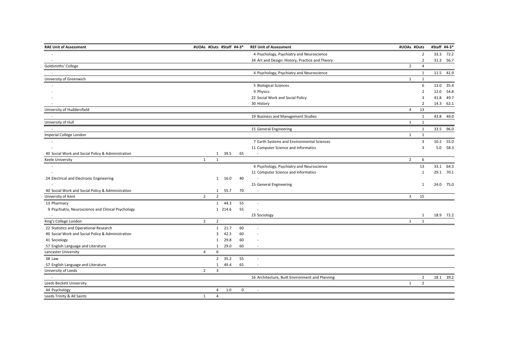| <b>RAE Unit of Assessment</b>                      | #UOAs #Outs #Staff #4-3* |                |         |    | <b>REF Unit of Assessment</b>                   | #UOAs #Outs    |                | #Staff #4-3* |
|----------------------------------------------------|--------------------------|----------------|---------|----|-------------------------------------------------|----------------|----------------|--------------|
|                                                    |                          |                |         |    | 4 Psychology, Psychiatry and Neuroscience       |                | 2              | 33.3 72.2    |
| $\overline{a}$                                     |                          |                |         |    | 34 Art and Design: History, Practice and Theory |                | $\overline{2}$ | 31.3 56.7    |
| Goldsmiths' College                                |                          |                |         |    |                                                 | $\overline{2}$ | $\overline{4}$ |              |
|                                                    |                          |                |         |    | 4 Psychology, Psychiatry and Neuroscience       |                | $\mathbf{1}$   | 11.5 41.9    |
| University of Greenwich                            |                          |                |         |    |                                                 | $\mathbf{1}$   | $\mathbf{1}$   |              |
|                                                    |                          |                |         |    | 5 Biological Sciences                           |                | 6              | 13.0 35.4    |
|                                                    |                          |                |         |    | 9 Physics                                       |                | 2              | 12.0 54.8    |
|                                                    |                          |                |         |    | 22 Social Work and Social Policy                |                | 3              | 41.8 49.7    |
|                                                    |                          |                |         |    | 30 History                                      |                | 2              | 14.3 62.1    |
| University of Huddersfield                         |                          |                |         |    |                                                 | $\overline{4}$ | 13             |              |
|                                                    |                          |                |         |    | 19 Business and Management Studies              |                | $\mathbf{1}$   | 43.8 49.0    |
| University of Hull                                 |                          |                |         |    |                                                 | $\mathbf{1}$   | 1              |              |
| $\overline{\phantom{a}}$                           |                          |                |         |    | 15 General Engineering                          |                | $\mathbf{1}$   | 33.5 96.0    |
| Imperial College London                            |                          |                |         |    |                                                 | $\mathbf{1}$   | $\mathbf{1}$   |              |
|                                                    |                          |                |         |    | 7 Earth Systems and Environmental Sciences      |                | 3              | 10.2 55.0    |
|                                                    |                          |                |         |    | 11 Computer Science and Informatics             |                | 3              | 5.0 58.3     |
| 40 Social Work and Social Policy & Administration  |                          |                | 1 39.5  | 65 | $\sim$                                          |                |                |              |
| Keele University                                   | $\mathbf{1}$             | $\mathbf{1}$   |         |    |                                                 | $\overline{2}$ | 6              |              |
|                                                    |                          |                |         |    | 4 Psychology, Psychiatry and Neuroscience       |                | 13             | 33.1 64.3    |
|                                                    |                          |                |         |    | 11 Computer Science and Informatics             |                | $\mathbf{1}$   | 29.1 70.1    |
| 24 Electrical and Electronic Engineering           |                          |                | 1 16.0  | 40 |                                                 |                |                |              |
|                                                    |                          |                |         |    | 15 General Engineering                          |                | 1              | 24.0 75.0    |
| 40 Social Work and Social Policy & Administration  |                          | $\mathbf{1}$   | 55.7    | 70 |                                                 |                |                |              |
| University of Kent                                 | $\overline{2}$           | $\overline{2}$ |         |    |                                                 | $\overline{3}$ | 15             |              |
| 13 Pharmacy                                        |                          | $\mathbf{1}$   | 44.3    | 55 |                                                 |                |                |              |
| 9 Psychiatry, Neuroscience and Clinical Psychology |                          |                | 1 214.6 | 55 |                                                 |                |                |              |
| $\sim$                                             |                          |                |         |    | 23 Sociology                                    |                | 1              | 18.9 72.2    |
| King's College London                              | $\overline{2}$           | $\overline{2}$ |         |    |                                                 | $\mathbf{1}$   | $\mathbf{1}$   |              |
| 22 Statistics and Operational Research             |                          | $\mathbf{1}$   | 21.7    | 60 |                                                 |                |                |              |
| 40 Social Work and Social Policy & Administration  |                          | 3              | 42.3    | 60 |                                                 |                |                |              |
| 41 Sociology                                       |                          | $\mathbf{1}$   | 29.8    | 60 |                                                 |                |                |              |
| 57 English Language and Literature                 |                          | 1              | 29.0    | 60 |                                                 |                |                |              |
| Lancaster University                               | $\overline{4}$           | 6              |         |    |                                                 |                |                |              |
| 38 Law                                             |                          | $\overline{2}$ | 35.2    | 55 |                                                 |                |                |              |
| 57 English Language and Literature                 |                          | $\mathbf{1}$   | 49.4    | 65 |                                                 |                |                |              |
| University of Leeds                                | $\overline{2}$           | 3              |         |    |                                                 |                |                |              |
| $\overline{\phantom{a}}$                           |                          |                |         |    | 16 Architecture, Built Environment and Planning |                | $\overline{2}$ | 18.1 39.2    |
| Leeds Beckett University                           |                          |                |         |    |                                                 | 1              | $\overline{2}$ |              |
| 44 Psychology                                      |                          | 4              | 1.0     | 0  | $\sim$                                          |                |                |              |
| Leeds Trinity & All Saints                         | $\mathbf{1}$             | $\overline{4}$ |         |    |                                                 |                |                |              |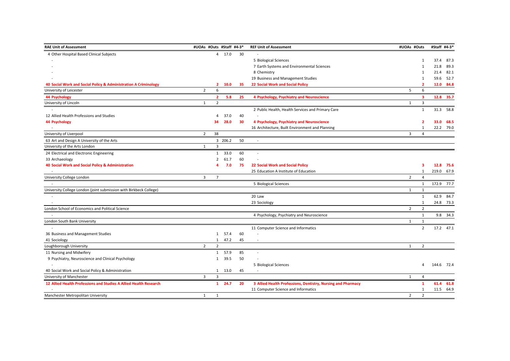| <b>RAE Unit of Assessment</b>                                      |                |                | #UOAs #Outs #Staff #4-3* |     | <b>REF Unit of Assessment</b>                                |                | #UOAs #Outs    |            |           |
|--------------------------------------------------------------------|----------------|----------------|--------------------------|-----|--------------------------------------------------------------|----------------|----------------|------------|-----------|
| 4 Other Hospital Based Clinical Subjects                           |                | 4              | 17.0                     | 30  |                                                              |                |                |            |           |
|                                                                    |                |                |                          |     | 5 Biological Sciences                                        |                | 1              | 37.4       | 87.3      |
|                                                                    |                |                |                          |     | 7 Earth Systems and Environmental Sciences                   |                | $\mathbf{1}$   | 21.8       | 89.3      |
|                                                                    |                |                |                          |     | 8 Chemistry                                                  |                | 1              | 21.4       | 82.1      |
|                                                                    |                |                |                          |     | 19 Business and Management Studies                           |                | -1             | 59.6       | 52.7      |
| 40 Social Work and Social Policy & Administration A Criminology    |                | 2              | 10.0                     | -35 | 22 Social Work and Social Policy                             |                | 2              |            | 12.0 84.8 |
| University of Leicester                                            | $\overline{2}$ | 6              |                          |     |                                                              | 5              | 6              |            |           |
| 44 Psychology                                                      |                | $\overline{2}$ | 5.8                      | 25  | 4 Psychology, Psychiatry and Neuroscience                    |                | 3              |            | 12.8 35.7 |
| University of Lincoln                                              | $\mathbf{1}$   | $\overline{2}$ |                          |     |                                                              | $\mathbf{1}$   | 3              |            |           |
|                                                                    |                |                |                          |     | 2 Public Health, Health Services and Primary Care            |                | $\mathbf{1}$   |            | 31.3 58.8 |
| 12 Allied Health Professions and Studies                           |                | 4              | 37.0                     | 40  |                                                              |                |                |            |           |
| 44 Psychology                                                      |                | 34             | 28.0                     | 30  | 4 Psychology, Psychiatry and Neuroscience                    |                | $\overline{2}$ | 33.0       | 68.5      |
|                                                                    |                |                |                          |     | 16 Architecture, Built Environment and Planning              |                | -1             |            | 22.2 79.0 |
| University of Liverpool                                            | $\overline{2}$ | 38             |                          |     |                                                              | $\overline{3}$ | $\overline{4}$ |            |           |
| 63 Art and Design A University of the Arts                         |                |                | 3 206.2                  | 50  | $\sim$                                                       |                |                |            |           |
| University of the Arts London                                      | $\mathbf{1}$   | 3              |                          |     |                                                              |                |                |            |           |
| 24 Electrical and Electronic Engineering                           |                | $\mathbf{1}$   | 33.0                     | 60  |                                                              |                |                |            |           |
| 33 Archaeology                                                     |                | 2              | 61.7                     | 60  |                                                              |                |                |            |           |
| 40 Social Work and Social Policy & Administration                  |                | 4              | 7.0                      | 75  | 22 Social Work and Social Policy                             |                | з              |            | 12.8 75.6 |
|                                                                    |                |                |                          |     | 25 Education A Institute of Education                        |                | 1              | 219.0 67.9 |           |
| University College London                                          | 3              | $\overline{7}$ |                          |     |                                                              | $\overline{2}$ | 4              |            |           |
|                                                                    |                |                |                          |     | 5 Biological Sciences                                        |                | $\mathbf{1}$   | 172.9 77.7 |           |
| University College London (joint submission with Birkbeck College) |                |                |                          |     |                                                              | 1              | $\mathbf{1}$   |            |           |
|                                                                    |                |                |                          |     | 20 Law                                                       |                | $\mathbf{1}$   | 62.9       | 84.7      |
|                                                                    |                |                |                          |     | 23 Sociology                                                 |                | 1              |            | 24.8 73.3 |
| London School of Economics and Political Science                   |                |                |                          |     |                                                              | $\overline{2}$ | $\overline{2}$ |            |           |
|                                                                    |                |                |                          |     | 4 Psychology, Psychiatry and Neuroscience                    |                | $\mathbf{1}$   |            | 9.8 34.3  |
| London South Bank University                                       |                |                |                          |     |                                                              | $\mathbf{1}$   | $\mathbf{1}$   |            |           |
|                                                                    |                |                |                          |     | 11 Computer Science and Informatics                          |                | $\overline{2}$ |            | 17.2 47.1 |
| 36 Business and Management Studies                                 |                | $\mathbf{1}$   | 57.4                     | 60  |                                                              |                |                |            |           |
| 41 Sociology                                                       |                | 1              | 47.2                     | 45  |                                                              |                |                |            |           |
| Loughborough University                                            | $\overline{2}$ | $\overline{2}$ |                          |     |                                                              | $\mathbf{1}$   | $\overline{2}$ |            |           |
| 11 Nursing and Midwifery                                           |                | $\mathbf{1}$   | 57.9                     | 85  | $\sim$                                                       |                |                |            |           |
| 9 Psychiatry, Neuroscience and Clinical Psychology                 |                | $\mathbf{1}$   | 39.5                     | 50  |                                                              |                |                |            |           |
|                                                                    |                |                |                          |     | 5 Biological Sciences                                        |                | 4              | 144.6 72.4 |           |
| 40 Social Work and Social Policy & Administration                  |                | $\mathbf{1}$   | 13.0                     | 45  |                                                              |                |                |            |           |
| University of Manchester                                           | 3              | $\overline{3}$ |                          |     |                                                              | $\mathbf{1}$   | $\overline{4}$ |            |           |
| 12 Allied Health Professions and Studies A Allied Health Research  |                |                | $1 \quad 24.7$           | 20  | 3 Allied Health Professions, Dentistry, Nursing and Pharmacy |                | $\mathbf{1}$   | 61.4       | 61.8      |
|                                                                    |                |                |                          |     | 11 Computer Science and Informatics                          |                | $\mathbf{1}$   |            | 11.5 64.9 |
| Manchester Metropolitan University                                 | 1              | $\mathbf{1}$   |                          |     |                                                              | $\overline{2}$ | $\overline{2}$ |            |           |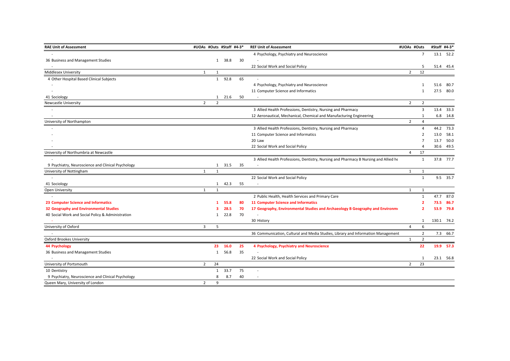| <b>RAE Unit of Assessment</b>                      |                |                | #UOAs #Outs #Staff #4-3* |    | <b>REF Unit of Assessment</b>                                                        | #UOAs #Outs    |                         | #Staff #4-3* |           |
|----------------------------------------------------|----------------|----------------|--------------------------|----|--------------------------------------------------------------------------------------|----------------|-------------------------|--------------|-----------|
|                                                    |                |                |                          |    | 4 Psychology, Psychiatry and Neuroscience                                            |                | $\overline{7}$          |              | 13.1 52.2 |
| 36 Business and Management Studies                 |                |                | 1 38.8                   | 30 |                                                                                      |                |                         |              |           |
|                                                    |                |                |                          |    | 22 Social Work and Social Policy                                                     |                | 5                       |              | 51.4 45.4 |
| Middlesex University                               | $\mathbf{1}$   | $\mathbf{1}$   |                          |    |                                                                                      | $\overline{2}$ | 12                      |              |           |
| 4 Other Hospital Based Clinical Subjects           |                | 1              | 92.8                     | 65 |                                                                                      |                |                         |              |           |
|                                                    |                |                |                          |    | 4 Psychology, Psychiatry and Neuroscience                                            |                | 1                       | 51.6         | 80.7      |
|                                                    |                |                |                          |    | 11 Computer Science and Informatics                                                  |                | 1                       |              | 27.5 80.0 |
| 41 Sociology                                       |                | 1              | 21.6                     | 50 | $\sim$                                                                               |                |                         |              |           |
| Newcastle University                               | $\overline{2}$ | $\overline{2}$ |                          |    |                                                                                      | $\overline{2}$ | $\overline{2}$          |              |           |
|                                                    |                |                |                          |    | 3 Allied Health Professions, Dentistry, Nursing and Pharmacy                         |                | 3                       |              | 13.4 33.3 |
|                                                    |                |                |                          |    | 12 Aeronautical, Mechanical, Chemical and Manufacturing Engineering                  |                | $\mathbf{1}$            |              | 6.8 14.8  |
| University of Northampton                          |                |                |                          |    |                                                                                      | $\overline{2}$ | $\overline{4}$          |              |           |
|                                                    |                |                |                          |    | 3 Allied Health Professions, Dentistry, Nursing and Pharmacy                         |                | 4                       |              | 44.2 73.3 |
|                                                    |                |                |                          |    | 11 Computer Science and Informatics                                                  |                | 2                       | 13.0         | 58.1      |
|                                                    |                |                |                          |    | 20 Law                                                                               |                |                         | 13.7         | 50.0      |
|                                                    |                |                |                          |    | 22 Social Work and Social Policy                                                     |                | 4                       |              | 30.6 49.5 |
| University of Northumbria at Newcastle             |                |                |                          |    |                                                                                      | $\overline{4}$ | 17                      |              |           |
|                                                    |                |                |                          |    | 3 Allied Health Professions, Dentistry, Nursing and Pharmacy B Nursing and Allied he |                | $\mathbf{1}$            |              | 37.8 77.7 |
| 9 Psychiatry, Neuroscience and Clinical Psychology |                |                | 1 31.5                   | 35 | $\sim$                                                                               |                |                         |              |           |
| University of Nottingham                           | $\mathbf{1}$   | $\mathbf{1}$   |                          |    |                                                                                      | 1              | $\mathbf{1}$            |              |           |
|                                                    |                |                |                          |    | 22 Social Work and Social Policy                                                     |                | $\mathbf{1}$            |              | 9.5 35.7  |
| 41 Sociology                                       |                | 1              | 42.3                     | 55 |                                                                                      |                |                         |              |           |
| Open University                                    | $\mathbf{1}$   | $\mathbf{1}$   |                          |    |                                                                                      | 1              | $\mathbf{1}$            |              |           |
|                                                    |                |                |                          |    | 2 Public Health, Health Services and Primary Care                                    |                | $\mathbf{1}$            | 47.7         | 87.0      |
| 23 Computer Science and Informatics                |                | -1             | 55.8                     | 80 | <b>11 Computer Science and Informatics</b>                                           |                | $\overline{\mathbf{2}}$ | 73.5         | 86.7      |
| 32 Geography and Environmental Studies             |                |                | 28.5                     | 70 | 17 Geography, Environmental Studies and Archaeology B Geography and Environme        |                | 2                       |              | 53.9 79.8 |
| 40 Social Work and Social Policy & Administration  |                | 1              | 22.8                     | 70 | $\sim$                                                                               |                |                         |              |           |
|                                                    |                |                |                          |    | 30 History                                                                           |                | 1                       | 130.1 74.2   |           |
| University of Oxford                               | $\overline{3}$ | 5              |                          |    |                                                                                      | $\overline{4}$ | 6                       |              |           |
|                                                    |                |                |                          |    | 36 Communication, Cultural and Media Studies, Library and Information Management     |                | $\overline{2}$          |              | 7.3 66.7  |
| Oxford Brookes University                          |                |                |                          |    |                                                                                      | $\mathbf{1}$   | $\overline{2}$          |              |           |
| <b>44 Psychology</b>                               |                | 23             | 16.0                     | 25 | 4 Psychology, Psychiatry and Neuroscience                                            |                | 22                      |              | 19.9 57.3 |
| 36 Business and Management Studies                 |                | 1              | 56.8                     | 35 |                                                                                      |                |                         |              |           |
|                                                    |                |                |                          |    | 22 Social Work and Social Policy                                                     |                | 1                       |              | 23.1 56.8 |
| University of Portsmouth                           | 2              | 24             |                          |    |                                                                                      | $\overline{2}$ | 23                      |              |           |
| 10 Dentistry                                       |                | 1              | 33.7                     | 75 |                                                                                      |                |                         |              |           |
| 9 Psychiatry, Neuroscience and Clinical Psychology |                | 8              | 8.7                      | 40 |                                                                                      |                |                         |              |           |
| Queen Mary, University of London                   | $\overline{2}$ | 9              |                          |    |                                                                                      |                |                         |              |           |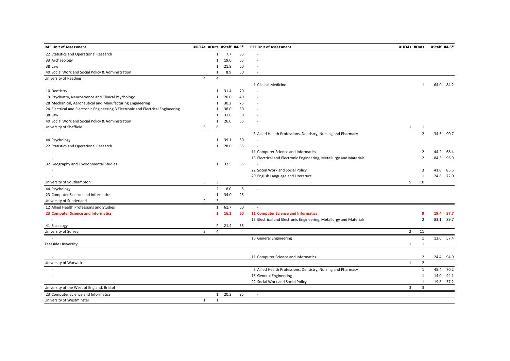| <b>RAE Unit of Assessment</b>                                                    | #UOAs #Outs #Staff #4-3* |                |        |    | <b>REF Unit of Assessment</b>                                      | #UOAs #Outs    |                | #Staff #4-3* |        |
|----------------------------------------------------------------------------------|--------------------------|----------------|--------|----|--------------------------------------------------------------------|----------------|----------------|--------------|--------|
| 22 Statistics and Operational Research                                           |                          | $\mathbf{1}$   | 7.7    | 35 |                                                                    |                |                |              |        |
| 33 Archaeology                                                                   |                          | 1              | 19.0   | 65 |                                                                    |                |                |              |        |
| 38 Law                                                                           |                          | $\mathbf{1}$   | 21.9   | 60 |                                                                    |                |                |              |        |
| 40 Social Work and Social Policy & Administration                                |                          | 1              | 8.9    | 50 |                                                                    |                |                |              |        |
| University of Reading                                                            | $\overline{4}$           | $\overline{4}$ |        |    |                                                                    |                |                |              |        |
|                                                                                  |                          |                |        |    | 1 Clinical Medicine                                                |                | $\mathbf{1}$   | 64.0 84.2    |        |
| 10 Dentistry                                                                     |                          | $\mathbf{1}$   | 31.4   | 70 |                                                                    |                |                |              |        |
| 9 Psychiatry, Neuroscience and Clinical Psychology                               |                          | $\mathbf{1}$   | 20.0   | 40 |                                                                    |                |                |              |        |
| 28 Mechanical, Aeronautical and Manufacturing Engineering                        |                          | 1              | 30.2   | 75 |                                                                    |                |                |              |        |
| 24 Electrical and Electronic Engineering B Electronic and Electrical Engineering |                          | 1              | 38.0   | 60 |                                                                    |                |                |              |        |
| 38 Law                                                                           |                          | 1              | 31.6   | 50 |                                                                    |                |                |              |        |
| 40 Social Work and Social Policy & Administration                                |                          | 1              | 26.6   | 65 |                                                                    |                |                |              |        |
| University of Sheffield                                                          | 6                        | 6              |        |    |                                                                    | $\mathbf{1}$   | $\mathbf{1}$   |              |        |
|                                                                                  |                          |                |        |    | 3 Allied Health Professions, Dentistry, Nursing and Pharmacy       |                | $\overline{2}$ | 34.5 90.7    |        |
| 44 Psychology                                                                    |                          | $\mathbf{1}$   | 39.1   | 60 |                                                                    |                |                |              |        |
| 22 Statistics and Operational Research                                           |                          | $\mathbf{1}$   | 28.0   | 65 |                                                                    |                |                |              |        |
|                                                                                  |                          |                |        |    | 11 Computer Science and Informatics                                |                | 2              | 44.2 68.4    |        |
|                                                                                  |                          |                |        |    | 13 Electrical and Electronic Engineering, Metallurgy and Materials |                | 2              | 84.3 96.9    |        |
| 32 Geography and Environmental Studies                                           |                          | 1              | 32.5   | 55 |                                                                    |                |                |              |        |
|                                                                                  |                          |                |        |    | 22 Social Work and Social Policy                                   |                | 3              | 41.0 85.5    |        |
|                                                                                  |                          |                |        |    | 29 English Language and Literature                                 |                | $\mathbf{1}$   | 24.8 72.0    |        |
| University of Southampton                                                        | 3                        | 3              |        |    |                                                                    | 5              | 10             |              |        |
| 44 Psychology                                                                    |                          | $\overline{2}$ | 8.0    | 5  |                                                                    |                |                |              |        |
| 23 Computer Science and Informatics                                              |                          | 1              | 34.0   | 25 |                                                                    |                |                |              |        |
| University of Sunderland                                                         | $\overline{2}$           | $\overline{3}$ |        |    |                                                                    |                |                |              |        |
| 12 Allied Health Professions and Studies                                         |                          |                | 1 61.7 | 60 |                                                                    |                |                |              |        |
| 23 Computer Science and Informatics                                              |                          | $\mathbf{1}$   | 16.2   | 50 | 11 Computer Science and Informatics                                |                | ٩              | 19.4         | - 57.7 |
|                                                                                  |                          |                |        |    | 13 Electrical and Electronic Engineering, Metallurgy and Materials |                | $\overline{2}$ | 83.1 89.7    |        |
| 41 Sociology                                                                     |                          | $\overline{2}$ | 21.4   | 55 |                                                                    |                |                |              |        |
| University of Surrey                                                             | 3                        | $\overline{4}$ |        |    |                                                                    | $\overline{2}$ | 11             |              |        |
|                                                                                  |                          |                |        |    | 15 General Engineering                                             |                | $\mathbf{1}$   | 13.0 57.4    |        |
| <b>Teesside University</b>                                                       |                          |                |        |    |                                                                    | $\mathbf{1}$   | $\mathbf{1}$   |              |        |
|                                                                                  |                          |                |        |    |                                                                    |                |                |              |        |
|                                                                                  |                          |                |        |    | 11 Computer Science and Informatics                                |                | $\overline{2}$ | 24.4 94.9    |        |
| University of Warwick                                                            |                          |                |        |    |                                                                    | $\mathbf{1}$   | $\overline{2}$ |              |        |
|                                                                                  |                          |                |        |    | 3 Allied Health Professions, Dentistry, Nursing and Pharmacy       |                | 1              | 45.4 70.2    |        |
|                                                                                  |                          |                |        |    | 15 General Engineering                                             |                | 1              | 14.0         | 94.1   |
|                                                                                  |                          |                |        |    | 22 Social Work and Social Policy                                   |                | -1             | 19.8 37.2    |        |
| University of the West of England, Bristol                                       |                          |                |        |    |                                                                    | 3              | 3              |              |        |
| 23 Computer Science and Informatics                                              |                          | 1              | 20.3   | 25 |                                                                    |                |                |              |        |
| University of Westminster                                                        | $\mathbf{1}$             | $\mathbf{1}$   |        |    |                                                                    |                |                |              |        |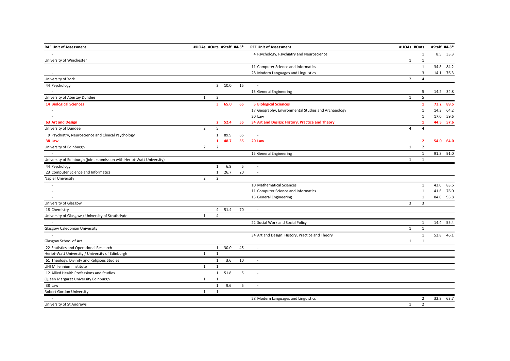| <b>RAE Unit of Assessment</b>                                          |                |                | #UOAs #Outs #Staff #4-3* |    | <b>REF Unit of Assessment</b>                       |                | #UOAs #Outs    | #Staff #4-3* |  |
|------------------------------------------------------------------------|----------------|----------------|--------------------------|----|-----------------------------------------------------|----------------|----------------|--------------|--|
|                                                                        |                |                |                          |    | 4 Psychology, Psychiatry and Neuroscience           |                | 1              | 8.5 33.3     |  |
| University of Winchester                                               |                |                |                          |    |                                                     | $\mathbf{1}$   | $\mathbf{1}$   |              |  |
|                                                                        |                |                |                          |    | 11 Computer Science and Informatics                 |                | $\mathbf{1}$   | 34.8<br>84.2 |  |
|                                                                        |                |                |                          |    | 28 Modern Languages and Linguistics                 |                | 3              | 14.1 76.3    |  |
| University of York                                                     |                |                |                          |    |                                                     | $\overline{2}$ | $\overline{4}$ |              |  |
| 44 Psychology                                                          |                |                | 3 10.0                   | 15 |                                                     |                |                |              |  |
|                                                                        |                |                |                          |    | 15 General Engineering                              |                | 5              | 14.2 34.8    |  |
| University of Abertay Dundee                                           | $\mathbf{1}$   | 3              |                          |    |                                                     | $\mathbf{1}$   | 5              |              |  |
| <b>14 Biological Sciences</b>                                          |                |                | 3, 65.0                  | 65 | <b>5 Biological Sciences</b>                        |                | 1              | 73.2 89.5    |  |
|                                                                        |                |                |                          |    | 17 Geography, Environmental Studies and Archaeology |                | 1              | 14.3<br>64.2 |  |
|                                                                        |                |                |                          |    | 20 Law                                              |                | 1              | 59.6<br>17.0 |  |
| <b>63 Art and Design</b>                                               |                | $\overline{2}$ | 52.4                     | 55 | 34 Art and Design: History, Practice and Theory     |                | 1              | 44.5 57.6    |  |
| University of Dundee                                                   | $\overline{2}$ | 5              |                          |    |                                                     | $\overline{4}$ | $\overline{4}$ |              |  |
| 9 Psychiatry, Neuroscience and Clinical Psychology                     |                | $\mathbf{1}$   | 89.9                     | 65 | $\sim$                                              |                |                |              |  |
| 38 Law                                                                 |                | 1              | 48.7                     | 55 | 20 Law                                              |                | $\overline{2}$ | 54.0 64.0    |  |
| University of Edinburgh                                                | $\overline{2}$ | $\overline{2}$ |                          |    |                                                     | 1              | $\overline{2}$ |              |  |
|                                                                        |                |                |                          |    | 15 General Engineering                              |                | $\mathbf{1}$   | 91.8<br>91.0 |  |
| University of Edinburgh (joint submission with Heriot-Watt University) |                |                |                          |    |                                                     | $\mathbf{1}$   | $\mathbf{1}$   |              |  |
| 44 Psychology                                                          |                | $\mathbf{1}$   | 6.8                      | 5  |                                                     |                |                |              |  |
| 23 Computer Science and Informatics                                    |                | $\mathbf{1}$   | 26.7                     | 20 |                                                     |                |                |              |  |
| Napier University                                                      | $\overline{2}$ | $\overline{2}$ |                          |    |                                                     |                |                |              |  |
|                                                                        |                |                |                          |    | 10 Mathematical Sciences                            |                | 1              | 43.0<br>83.6 |  |
|                                                                        |                |                |                          |    | 11 Computer Science and Informatics                 |                | $\mathbf{1}$   | 41.6<br>76.0 |  |
|                                                                        |                |                |                          |    | 15 General Engineering                              |                | 1              | 84.0 95.8    |  |
| University of Glasgow                                                  |                |                |                          |    |                                                     | 3              | 3              |              |  |
| 18 Chemistry                                                           |                | 4              | 51.4                     | 70 |                                                     |                |                |              |  |
| University of Glasgow / University of Strathclyde                      | $\mathbf{1}$   | $\overline{4}$ |                          |    |                                                     |                |                |              |  |
|                                                                        |                |                |                          |    | 22 Social Work and Social Policy                    |                | $\mathbf{1}$   | 14.4<br>55.4 |  |
| Glasgow Caledonian University                                          |                |                |                          |    |                                                     | $\mathbf{1}$   | $\mathbf{1}$   |              |  |
| $\overline{\phantom{a}}$                                               |                |                |                          |    | 34 Art and Design: History, Practice and Theory     |                | $\mathbf{1}$   | 52.8 46.1    |  |
| Glasgow School of Art                                                  |                |                |                          |    |                                                     | $\mathbf{1}$   | $\mathbf{1}$   |              |  |
| 22 Statistics and Operational Research                                 |                | 1              | 30.0                     | 45 | $\overline{a}$                                      |                |                |              |  |
| Heriot-Watt University / University of Edinburgh                       | $\mathbf{1}$   | $\mathbf{1}$   |                          |    |                                                     |                |                |              |  |
| 61 Theology, Divinity and Religious Studies                            |                | $\mathbf{1}$   | 3.6                      | 10 | $\sim$                                              |                |                |              |  |
| UHI Millennium Institute                                               | $\mathbf{1}$   | 1              |                          |    |                                                     |                |                |              |  |
| 12 Allied Health Professions and Studies                               |                | $\mathbf{1}$   | 51.8                     | 5  |                                                     |                |                |              |  |
| Queen Margaret University Edinburgh                                    | $\mathbf{1}$   | $\mathbf{1}$   |                          |    |                                                     |                |                |              |  |
| 38 Law                                                                 |                | $\mathbf{1}$   | 9.6                      | 5  |                                                     |                |                |              |  |
| Robert Gordon University                                               | $\mathbf{1}$   | $\mathbf{1}$   |                          |    |                                                     |                |                |              |  |
|                                                                        |                |                |                          |    | 28 Modern Languages and Linguistics                 |                | 2              | 32.8<br>63.7 |  |
| University of St Andrews                                               |                |                |                          |    |                                                     | $\mathbf{1}$   | $\overline{2}$ |              |  |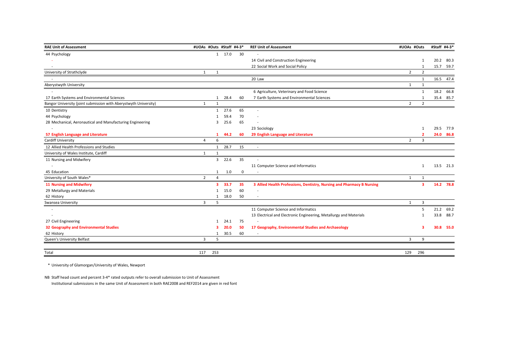| <b>RAE Unit of Assessment</b>                                    | #UOAs #Outs #Staff #4-3* |                |          |             | <b>REF Unit of Assessment</b>                                          |                | #UOAs #Outs    |           |           |
|------------------------------------------------------------------|--------------------------|----------------|----------|-------------|------------------------------------------------------------------------|----------------|----------------|-----------|-----------|
| 44 Psychology                                                    |                          |                | 1 17.0   | 30          |                                                                        |                |                |           |           |
|                                                                  |                          |                |          |             | 14 Civil and Construction Engineering                                  |                | 1              |           | 20.2 80.3 |
|                                                                  |                          |                |          |             | 22 Social Work and Social Policy                                       |                | 1              | 15.7 59.7 |           |
| University of Strathclyde                                        | $\mathbf{1}$             | $\mathbf{1}$   |          |             |                                                                        | $\overline{2}$ | $\overline{2}$ |           |           |
|                                                                  |                          |                |          |             | 20 Law                                                                 |                | $\mathbf{1}$   | 16.5 47.4 |           |
| Aberystwyth University                                           |                          |                |          |             |                                                                        | $\mathbf{1}$   | $\mathbf{1}$   |           |           |
|                                                                  |                          |                |          |             | 6 Agriculture, Veterinary and Food Science                             |                | 1              |           | 18.2 66.8 |
| 17 Earth Systems and Environmental Sciences                      |                          | 1              | 28.4     | 60          | 7 Earth Systems and Environmental Sciences                             |                | 1              |           | 35.4 85.7 |
| Bangor University (joint submission with Aberystwyth University) | $\mathbf{1}$             | $\mathbf{1}$   |          |             |                                                                        | $\overline{2}$ | $\overline{2}$ |           |           |
| 10 Dentistry                                                     |                          | 1              | 27.6     | 65          | $\sim$                                                                 |                |                |           |           |
| 44 Psychology                                                    |                          | $\mathbf{1}$   | 59.4     | 70          |                                                                        |                |                |           |           |
| 28 Mechanical, Aeronautical and Manufacturing Engineering        |                          | 3              | 25.6     | 65          |                                                                        |                |                |           |           |
|                                                                  |                          |                |          |             | 23 Sociology                                                           |                | -1             | 29.5      | 77.9      |
| 57 English Language and Literature                               |                          | 1              | 44.2     | 60          | 29 English Language and Literature                                     |                | $\overline{2}$ |           | 24.0 86.8 |
| Cardiff University                                               | $\overline{4}$           | 6              |          |             |                                                                        | 2              | 3              |           |           |
| 12 Allied Health Professions and Studies                         |                          | 1              | 28.7     | 15          | $\sim$                                                                 |                |                |           |           |
| University of Wales Institute, Cardiff                           | $\mathbf{1}$             | $\mathbf{1}$   |          |             |                                                                        |                |                |           |           |
| 11 Nursing and Midwifery                                         |                          |                | $3$ 22.6 | 35          |                                                                        |                |                |           |           |
|                                                                  |                          |                |          |             | 11 Computer Science and Informatics                                    |                | $\mathbf{1}$   |           | 13.5 21.3 |
| 45 Education                                                     |                          | 1              | 1.0      | $\mathbf 0$ |                                                                        |                |                |           |           |
| University of South Wales*                                       | $\overline{2}$           | $\overline{4}$ |          |             |                                                                        | 1              | 1              |           |           |
| 11 Nursing and Midwifery                                         |                          | 3              | 33.7     | 35          | 3 Allied Health Professions, Dentistry, Nursing and Pharmacy B Nursing |                | 3              |           | 14.2 78.8 |
| 29 Metallurgy and Materials                                      |                          | $\mathbf{1}$   | 15.0     | 60          |                                                                        |                |                |           |           |
| 62 History                                                       |                          | 1              | 18.0     | 50          |                                                                        |                |                |           |           |
| Swansea University                                               | $\overline{3}$           | 5              |          |             |                                                                        | 1              | 3              |           |           |
|                                                                  |                          |                |          |             | 11 Computer Science and Informatics                                    |                | 5              |           | 21.2 69.2 |
|                                                                  |                          |                |          |             | 13 Electrical and Electronic Engineering, Metallurgy and Materials     |                | -1             | 33.8      | 88.7      |
| 27 Civil Engineering                                             |                          | 1              | 24.1     | 75          |                                                                        |                |                |           |           |
| 32 Geography and Environmental Studies                           |                          | з              | 20.0     | 50          | 17 Geography, Environmental Studies and Archaeology                    |                | з              |           | 30.8 55.0 |
| 62 History                                                       |                          | $\mathbf{1}$   | 30.5     | 60          |                                                                        |                |                |           |           |
| Queen's University Belfast                                       | 3                        | 5              |          |             |                                                                        | 3              | 9              |           |           |
|                                                                  |                          |                |          |             |                                                                        |                |                |           |           |
| Total                                                            | 117                      | 253            |          |             |                                                                        | 129            | 296            |           |           |

\* University of Glamorgan/University of Wales, Newport

NB Staff head count and percent 3‐4\* rated outputs refer to overall submission to Unit of Assessment

Institutional submissions in the same Unit of Assessment in both RAE2008 and REF2014 are given in red font